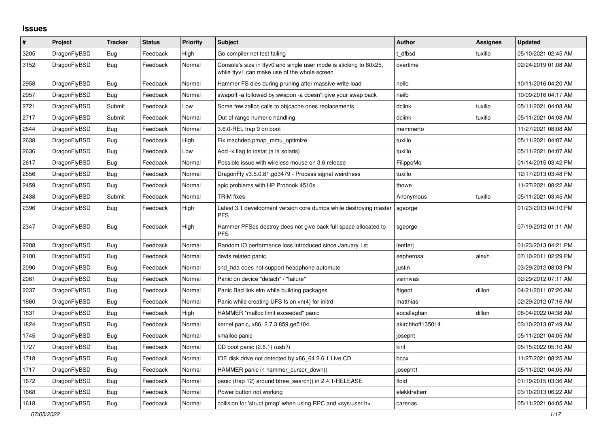## **Issues**

| $\#$ | Project      | <b>Tracker</b> | <b>Status</b> | <b>Priority</b> | <b>Subject</b>                                                                                                     | <b>Author</b>    | <b>Assignee</b> | <b>Updated</b>      |
|------|--------------|----------------|---------------|-----------------|--------------------------------------------------------------------------------------------------------------------|------------------|-----------------|---------------------|
| 3205 | DragonFlyBSD | <b>Bug</b>     | Feedback      | High            | Go compiler net test failing                                                                                       | t dfbsd          | tuxillo         | 05/10/2021 02:45 AM |
| 3152 | DragonFlyBSD | <b>Bug</b>     | Feedback      | Normal          | Console's size in ttyv0 and single user mode is sticking to 80x25,<br>while ttyv1 can make use of the whole screen | overtime         |                 | 02/24/2019 01:08 AM |
| 2958 | DragonFlyBSD | <b>Bug</b>     | Feedback      | Normal          | Hammer FS dies during pruning after massive write load                                                             | neilb            |                 | 10/11/2016 04:20 AM |
| 2957 | DragonFlyBSD | <b>Bug</b>     | Feedback      | Normal          | swapoff-a followed by swapon-a doesn't give your swap back                                                         | neilb            |                 | 10/09/2016 04:17 AM |
| 2721 | DragonFlyBSD | Submit         | Feedback      | Low             | Some few zalloc calls to objcache ones replacements                                                                | dclink           | tuxillo         | 05/11/2021 04:08 AM |
| 2717 | DragonFlyBSD | Submit         | Feedback      | Normal          | Out of range numeric handling                                                                                      | dclink           | tuxillo         | 05/11/2021 04:08 AM |
| 2644 | DragonFlyBSD | <b>Bug</b>     | Feedback      | Normal          | 3.6.0-REL trap 9 on boot                                                                                           | memmerto         |                 | 11/27/2021 08:08 AM |
| 2638 | DragonFlyBSD | <b>Bug</b>     | Feedback      | High            | Fix machdep.pmap_mmu_optimize                                                                                      | tuxillo          |                 | 05/11/2021 04:07 AM |
| 2636 | DragonFlyBSD | <b>Bug</b>     | Feedback      | Low             | Add -x flag to iostat (a la solaris)                                                                               | tuxillo          |                 | 05/11/2021 04:07 AM |
| 2617 | DragonFlyBSD | Bug            | Feedback      | Normal          | Possible issue with wireless mouse on 3.6 release                                                                  | FilippoMo        |                 | 01/14/2015 03:42 PM |
| 2556 | DragonFlyBSD | Bug            | Feedback      | Normal          | DragonFly v3.5.0.81.gd3479 - Process signal weirdness                                                              | tuxillo          |                 | 12/17/2013 03:48 PM |
| 2459 | DragonFlyBSD | Bug            | Feedback      | Normal          | apic problems with HP Probook 4510s                                                                                | thowe            |                 | 11/27/2021 08:22 AM |
| 2438 | DragonFlyBSD | Submit         | Feedback      | Normal          | <b>TRIM</b> fixes                                                                                                  | Anonymous        | tuxillo         | 05/11/2021 03:45 AM |
| 2396 | DragonFlyBSD | Bug            | Feedback      | High            | Latest 3.1 development version core dumps while destroying master<br><b>PFS</b>                                    | sgeorge          |                 | 01/23/2013 04:10 PM |
| 2347 | DragonFlyBSD | Bug            | Feedback      | High            | Hammer PFSes destroy does not give back full space allocated to<br><b>PFS</b>                                      | sgeorge          |                 | 07/19/2012 01:11 AM |
| 2288 | DragonFlyBSD | Bug            | Feedback      | Normal          | Random IO performance loss introduced since January 1st                                                            | lentferj         |                 | 01/23/2013 04:21 PM |
| 2100 | DragonFlyBSD | Bug            | Feedback      | Normal          | devfs related panic                                                                                                | sepherosa        | alexh           | 07/10/2011 02:29 PM |
| 2090 | DragonFlyBSD | <b>Bug</b>     | Feedback      | Normal          | snd_hda does not support headphone automute                                                                        | justin           |                 | 03/29/2012 08:03 PM |
| 2081 | DragonFlyBSD | Bug            | Feedback      | Normal          | Panic on device "detach" / "failure"                                                                               | vsrinivas        |                 | 02/29/2012 07:11 AM |
| 2037 | DragonFlyBSD | <b>Bug</b>     | Feedback      | Normal          | Panic Bad link elm while building packages                                                                         | ftigeot          | dillon          | 04/21/2011 07:20 AM |
| 1860 | DragonFlyBSD | <b>Bug</b>     | Feedback      | Normal          | Panic while creating UFS fs on vn(4) for initrd                                                                    | matthias         |                 | 02/29/2012 07:16 AM |
| 1831 | DragonFlyBSD | <b>Bug</b>     | Feedback      | High            | HAMMER "malloc limit exceeded" panic                                                                               | eocallaghan      | dillon          | 06/04/2022 04:38 AM |
| 1824 | DragonFlyBSD | Bug            | Feedback      | Normal          | kernel panic, x86, 2.7.3.859.ge5104                                                                                | akirchhoff135014 |                 | 03/10/2013 07:49 AM |
| 1745 | DragonFlyBSD | Bug            | Feedback      | Normal          | kmalloc panic                                                                                                      | josepht          |                 | 05/11/2021 04:05 AM |
| 1727 | DragonFlyBSD | Bug            | Feedback      | Normal          | CD boot panic (2.6.1) (usb?)                                                                                       | kiril            |                 | 05/15/2022 05:10 AM |
| 1718 | DragonFlyBSD | Bug            | Feedback      | Normal          | IDE disk drive not detected by x86 64 2.6.1 Live CD                                                                | bcox             |                 | 11/27/2021 08:25 AM |
| 1717 | DragonFlyBSD | <b>Bug</b>     | Feedback      | Normal          | HAMMER panic in hammer cursor down()                                                                               | josepht1         |                 | 05/11/2021 04:05 AM |
| 1672 | DragonFlyBSD | Bug            | Feedback      | Normal          | panic (trap 12) around btree search() in 2.4.1-RELEASE                                                             | floid            |                 | 01/19/2015 03:36 AM |
| 1668 | DragonFlyBSD | <b>Bug</b>     | Feedback      | Normal          | Power button not working                                                                                           | elekktretterr    |                 | 03/10/2013 06:22 AM |
| 1618 | DragonFlyBSD | Bug            | Feedback      | Normal          | collision for 'struct pmap' when using RPC and <sys user.h=""></sys>                                               | carenas          |                 | 05/11/2021 04:05 AM |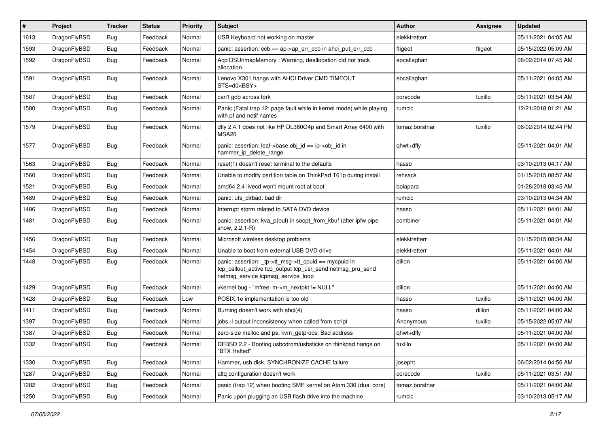| #    | Project      | <b>Tracker</b> | <b>Status</b> | <b>Priority</b> | Subject                                                                                                                                                   | <b>Author</b>  | Assignee | <b>Updated</b>      |
|------|--------------|----------------|---------------|-----------------|-----------------------------------------------------------------------------------------------------------------------------------------------------------|----------------|----------|---------------------|
| 1613 | DragonFlyBSD | <b>Bug</b>     | Feedback      | Normal          | USB Keyboard not working on master                                                                                                                        | elekktretterr  |          | 05/11/2021 04:05 AM |
| 1593 | DragonFlyBSD | <b>Bug</b>     | Feedback      | Normal          | panic: assertion: ccb == ap->ap_err_ccb in ahci_put_err_ccb                                                                                               | ftigeot        | ftigeot  | 05/15/2022 05:09 AM |
| 1592 | DragonFlyBSD | <b>Bug</b>     | Feedback      | Normal          | AcpiOSUnmapMemory: Warning, deallocation did not track<br>allocation.                                                                                     | eocallaghan    |          | 06/02/2014 07:45 AM |
| 1591 | DragonFlyBSD | <b>Bug</b>     | Feedback      | Normal          | Lenovo X301 hangs with AHCI Driver CMD TIMEOUT<br>STS=d0 <bsy></bsy>                                                                                      | eocallaghan    |          | 05/11/2021 04:05 AM |
| 1587 | DragonFlyBSD | <b>Bug</b>     | Feedback      | Normal          | can't gdb across fork                                                                                                                                     | corecode       | tuxillo  | 05/11/2021 03:54 AM |
| 1580 | DragonFlyBSD | <b>Bug</b>     | Feedback      | Normal          | Panic (Fatal trap 12: page fault while in kernel mode) while playing<br>with pf and netif names                                                           | rumcic         |          | 12/21/2018 01:21 AM |
| 1579 | DragonFlyBSD | <b>Bug</b>     | Feedback      | Normal          | dfly 2.4.1 does not like HP DL360G4p and Smart Array 6400 with<br>MSA20                                                                                   | tomaz.borstnar | tuxillo  | 06/02/2014 02:44 PM |
| 1577 | DragonFlyBSD | <b>Bug</b>     | Feedback      | Normal          | panic: assertion: leaf->base.obj_id == ip->obj_id in<br>hammer_ip_delete_range                                                                            | qhwt+dfly      |          | 05/11/2021 04:01 AM |
| 1563 | DragonFlyBSD | <b>Bug</b>     | Feedback      | Normal          | reset(1) doesn't reset terminal to the defaults                                                                                                           | hasso          |          | 03/10/2013 04:17 AM |
| 1560 | DragonFlyBSD | <b>Bug</b>     | Feedback      | Normal          | Unable to modify partition table on ThinkPad T61p during install                                                                                          | rehsack        |          | 01/15/2015 08:57 AM |
| 1521 | DragonFlyBSD | <b>Bug</b>     | Feedback      | Normal          | amd64 2.4 livecd won't mount root at boot                                                                                                                 | bolapara       |          | 01/28/2018 03:45 AM |
| 1489 | DragonFlyBSD | <b>Bug</b>     | Feedback      | Normal          | panic: ufs dirbad: bad dir                                                                                                                                | rumcic         |          | 03/10/2013 04:34 AM |
| 1486 | DragonFlyBSD | <b>Bug</b>     | Feedback      | Normal          | Interrupt storm related to SATA DVD device                                                                                                                | hasso          |          | 05/11/2021 04:01 AM |
| 1481 | DragonFlyBSD | <b>Bug</b>     | Feedback      | Normal          | panic: assertion: kva_p(buf) in soopt_from_kbuf (after ipfw pipe<br>show, 2.2.1-R)                                                                        | combiner       |          | 05/11/2021 04:01 AM |
| 1456 | DragonFlyBSD | <b>Bug</b>     | Feedback      | Normal          | Microsoft wireless desktop problems                                                                                                                       | elekktretterr  |          | 01/15/2015 08:34 AM |
| 1454 | DragonFlyBSD | <b>Bug</b>     | Feedback      | Normal          | Unable to boot from external USB DVD drive                                                                                                                | elekktretterr  |          | 05/11/2021 04:01 AM |
| 1448 | DragonFlyBSD | <b>Bug</b>     | Feedback      | Normal          | panic: assertion: _tp->tt_msg->tt_cpuid == mycpuid in<br>tcp_callout_active tcp_output tcp_usr_send netmsg_pru_send<br>netmsg_service tcpmsg_service_loop | dillon         |          | 05/11/2021 04:00 AM |
| 1429 | DragonFlyBSD | <b>Bug</b>     | Feedback      | Normal          | vkernel bug - "mfree: m->m_nextpkt != NULL"                                                                                                               | dillon         |          | 05/11/2021 04:00 AM |
| 1428 | DragonFlyBSD | <b>Bug</b>     | Feedback      | Low             | POSIX.1e implementation is too old                                                                                                                        | hasso          | tuxillo  | 05/11/2021 04:00 AM |
| 1411 | DragonFlyBSD | <b>Bug</b>     | Feedback      | Normal          | Burning doesn't work with ahci(4)                                                                                                                         | hasso          | dillon   | 05/11/2021 04:00 AM |
| 1397 | DragonFlyBSD | Bug            | Feedback      | Normal          | jobs -I output inconsistency when called from script                                                                                                      | Anonymous      | tuxillo  | 05/15/2022 05:07 AM |
| 1387 | DragonFlyBSD | <b>Bug</b>     | Feedback      | Normal          | zero-size malloc and ps: kvm_getprocs: Bad address                                                                                                        | qhwt+dfly      |          | 05/11/2021 04:00 AM |
| 1332 | DragonFlyBSD | <b>Bug</b>     | Feedback      | Normal          | DFBSD 2.2 - Booting usbcdrom/usbsticks on thinkpad hangs on<br>"BTX Halted"                                                                               | tuxillo        |          | 05/11/2021 04:00 AM |
| 1330 | DragonFlyBSD | <b>Bug</b>     | Feedback      | Normal          | Hammer, usb disk, SYNCHRONIZE CACHE failure                                                                                                               | josepht        |          | 06/02/2014 04:56 AM |
| 1287 | DragonFlyBSD | <b>Bug</b>     | Feedback      | Normal          | altg configuration doesn't work                                                                                                                           | corecode       | tuxillo  | 05/11/2021 03:51 AM |
| 1282 | DragonFlyBSD | <b>Bug</b>     | Feedback      | Normal          | panic (trap 12) when booting SMP kernel on Atom 330 (dual core)                                                                                           | tomaz.borstnar |          | 05/11/2021 04:00 AM |
| 1250 | DragonFlyBSD | <b>Bug</b>     | Feedback      | Normal          | Panic upon plugging an USB flash drive into the machine                                                                                                   | rumcic         |          | 03/10/2013 05:17 AM |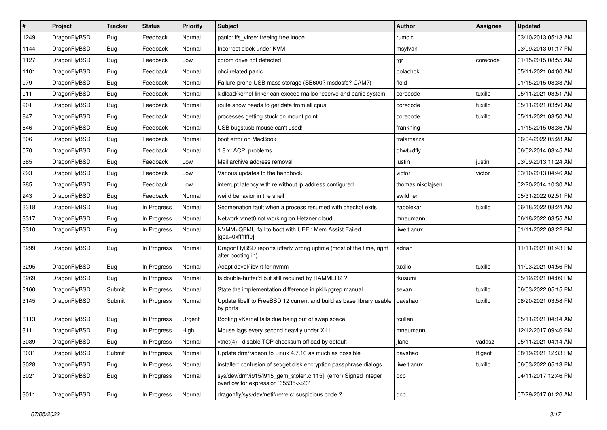| $\sharp$ | Project      | <b>Tracker</b> | <b>Status</b> | <b>Priority</b> | Subject                                                                                                | <b>Author</b>     | Assignee | <b>Updated</b>      |
|----------|--------------|----------------|---------------|-----------------|--------------------------------------------------------------------------------------------------------|-------------------|----------|---------------------|
| 1249     | DragonFlyBSD | <b>Bug</b>     | Feedback      | Normal          | panic: ffs_vfree: freeing free inode                                                                   | rumcic            |          | 03/10/2013 05:13 AM |
| 1144     | DragonFlyBSD | Bug            | Feedback      | Normal          | Incorrect clock under KVM                                                                              | msylvan           |          | 03/09/2013 01:17 PM |
| 1127     | DragonFlyBSD | <b>Bug</b>     | Feedback      | Low             | cdrom drive not detected                                                                               | tgr               | corecode | 01/15/2015 08:55 AM |
| 1101     | DragonFlyBSD | <b>Bug</b>     | Feedback      | Normal          | ohci related panic                                                                                     | polachok          |          | 05/11/2021 04:00 AM |
| 979      | DragonFlyBSD | <b>Bug</b>     | Feedback      | Normal          | Failure-prone USB mass storage (SB600? msdosfs? CAM?)                                                  | floid             |          | 01/15/2015 08:38 AM |
| 911      | DragonFlyBSD | <b>Bug</b>     | Feedback      | Normal          | kldload/kernel linker can exceed malloc reserve and panic system                                       | corecode          | tuxillo  | 05/11/2021 03:51 AM |
| 901      | DragonFlyBSD | <b>Bug</b>     | Feedback      | Normal          | route show needs to get data from all cpus                                                             | corecode          | tuxillo  | 05/11/2021 03:50 AM |
| 847      | DragonFlyBSD | <b>Bug</b>     | Feedback      | Normal          | processes getting stuck on mount point                                                                 | corecode          | tuxillo  | 05/11/2021 03:50 AM |
| 846      | DragonFlyBSD | <b>Bug</b>     | Feedback      | Normal          | USB bugs:usb mouse can't used!                                                                         | frankning         |          | 01/15/2015 08:36 AM |
| 806      | DragonFlyBSD | <b>Bug</b>     | Feedback      | Normal          | boot error on MacBook                                                                                  | tralamazza        |          | 06/04/2022 05:28 AM |
| 570      | DragonFlyBSD | <b>Bug</b>     | Feedback      | Normal          | 1.8.x: ACPI problems                                                                                   | qhwt+dfly         |          | 06/02/2014 03:45 AM |
| 385      | DragonFlyBSD | <b>Bug</b>     | Feedback      | Low             | Mail archive address removal                                                                           | justin            | justin   | 03/09/2013 11:24 AM |
| 293      | DragonFlyBSD | <b>Bug</b>     | Feedback      | Low             | Various updates to the handbook                                                                        | victor            | victor   | 03/10/2013 04:46 AM |
| 285      | DragonFlyBSD | <b>Bug</b>     | Feedback      | Low             | interrupt latency with re without ip address configured                                                | thomas.nikolajsen |          | 02/20/2014 10:30 AM |
| 243      | DragonFlyBSD | Bug            | Feedback      | Normal          | weird behavior in the shell                                                                            | swildner          |          | 05/31/2022 02:51 PM |
| 3318     | DragonFlyBSD | <b>Bug</b>     | In Progress   | Normal          | Segmenation fault when a process resumed with checkpt exits                                            | zabolekar         | tuxillo  | 06/18/2022 08:24 AM |
| 3317     | DragonFlyBSD | <b>Bug</b>     | In Progress   | Normal          | Network vtnet0 not working on Hetzner cloud                                                            | mneumann          |          | 06/18/2022 03:55 AM |
| 3310     | DragonFlyBSD | <b>Bug</b>     | In Progress   | Normal          | NVMM+QEMU fail to boot with UEFI: Mem Assist Failed<br>[gpa=0xfffffff0]                                | liweitianux       |          | 01/11/2022 03:22 PM |
| 3299     | DragonFlyBSD | Bug            | In Progress   | Normal          | DragonFlyBSD reports utterly wrong uptime (most of the time, right<br>after booting in)                | adrian            |          | 11/11/2021 01:43 PM |
| 3295     | DragonFlyBSD | Bug            | In Progress   | Normal          | Adapt devel/libvirt for nvmm                                                                           | tuxillo           | tuxillo  | 11/03/2021 04:56 PM |
| 3269     | DragonFlyBSD | Bug            | In Progress   | Normal          | Is double-buffer'd buf still required by HAMMER2 ?                                                     | tkusumi           |          | 05/12/2021 04:09 PM |
| 3160     | DragonFlyBSD | Submit         | In Progress   | Normal          | State the implementation difference in pkill/pgrep manual                                              | sevan             | tuxillo  | 06/03/2022 05:15 PM |
| 3145     | DragonFlyBSD | Submit         | In Progress   | Normal          | Update libelf to FreeBSD 12 current and build as base library usable   davshao<br>by ports             |                   | tuxillo  | 08/20/2021 03:58 PM |
| 3113     | DragonFlyBSD | Bug            | In Progress   | Urgent          | Booting vKernel fails due being out of swap space                                                      | tcullen           |          | 05/11/2021 04:14 AM |
| 3111     | DragonFlyBSD | <b>Bug</b>     | In Progress   | High            | Mouse lags every second heavily under X11                                                              | mneumann          |          | 12/12/2017 09:46 PM |
| 3089     | DragonFlyBSD | Bug            | In Progress   | Normal          | vtnet(4) - disable TCP checksum offload by default                                                     | jlane             | vadaszi  | 05/11/2021 04:14 AM |
| 3031     | DragonFlyBSD | Submit         | In Progress   | Normal          | Update drm/radeon to Linux 4.7.10 as much as possible                                                  | davshao           | ftigeot  | 08/19/2021 12:33 PM |
| 3028     | DragonFlyBSD | <b>Bug</b>     | In Progress   | Normal          | installer: confusion of set/get disk encryption passphrase dialogs                                     | liweitianux       | tuxillo  | 06/03/2022 05:13 PM |
| 3021     | DragonFlyBSD | <b>Bug</b>     | In Progress   | Normal          | sys/dev/drm/i915/i915_gem_stolen.c:115]: (error) Signed integer<br>overflow for expression '65535<<20' | dcb               |          | 04/11/2017 12:46 PM |
| 3011     | DragonFlyBSD | <b>Bug</b>     | In Progress   | Normal          | dragonfly/sys/dev/netif/re/re.c: suspicious code?                                                      | dcb               |          | 07/29/2017 01:26 AM |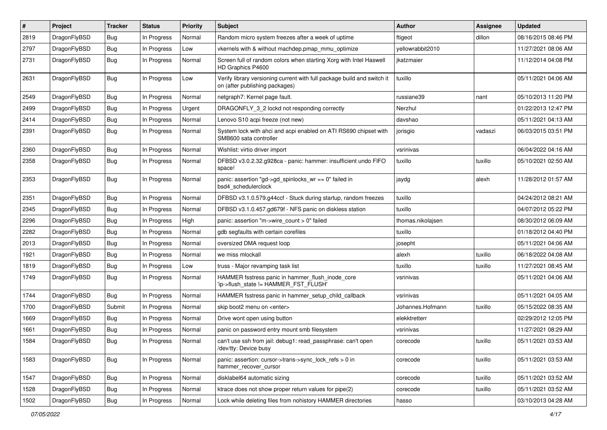| #    | Project      | <b>Tracker</b> | <b>Status</b> | <b>Priority</b> | Subject                                                                                                   | Author            | <b>Assignee</b> | <b>Updated</b>      |
|------|--------------|----------------|---------------|-----------------|-----------------------------------------------------------------------------------------------------------|-------------------|-----------------|---------------------|
| 2819 | DragonFlyBSD | <b>Bug</b>     | In Progress   | Normal          | Random micro system freezes after a week of uptime                                                        | ftigeot           | dillon          | 08/16/2015 08:46 PM |
| 2797 | DragonFlyBSD | Bug            | In Progress   | Low             | vkernels with & without machdep.pmap_mmu_optimize                                                         | yellowrabbit2010  |                 | 11/27/2021 08:06 AM |
| 2731 | DragonFlyBSD | <b>Bug</b>     | In Progress   | Normal          | Screen full of random colors when starting Xorg with Intel Haswell<br>HD Graphics P4600                   | ikatzmaier        |                 | 11/12/2014 04:08 PM |
| 2631 | DragonFlyBSD | <b>Bug</b>     | In Progress   | Low             | Verify library versioning current with full package build and switch it<br>on (after publishing packages) | tuxillo           |                 | 05/11/2021 04:06 AM |
| 2549 | DragonFlyBSD | <b>Bug</b>     | In Progress   | Normal          | netgraph7: Kernel page fault.                                                                             | russiane39        | nant            | 05/10/2013 11:20 PM |
| 2499 | DragonFlyBSD | <b>Bug</b>     | In Progress   | Urgent          | DRAGONFLY 3 2 lockd not responding correctly                                                              | Nerzhul           |                 | 01/22/2013 12:47 PM |
| 2414 | DragonFlyBSD | <b>Bug</b>     | In Progress   | Normal          | Lenovo S10 acpi freeze (not new)                                                                          | davshao           |                 | 05/11/2021 04:13 AM |
| 2391 | DragonFlyBSD | Bug            | In Progress   | Normal          | System lock with ahci and acpi enabled on ATI RS690 chipset with<br>SMB600 sata controller                | jorisgio          | vadaszi         | 06/03/2015 03:51 PM |
| 2360 | DragonFlyBSD | <b>Bug</b>     | In Progress   | Normal          | Wishlist: virtio driver import                                                                            | vsrinivas         |                 | 06/04/2022 04:16 AM |
| 2358 | DragonFlyBSD | <b>Bug</b>     | In Progress   | Normal          | DFBSD v3.0.2.32.g928ca - panic: hammer: insufficient undo FIFO<br>space!                                  | tuxillo           | tuxillo         | 05/10/2021 02:50 AM |
| 2353 | DragonFlyBSD | Bug            | In Progress   | Normal          | panic: assertion "gd->gd_spinlocks_wr == 0" failed in<br>bsd4 schedulerclock                              | jaydg             | alexh           | 11/28/2012 01:57 AM |
| 2351 | DragonFlyBSD | <b>Bug</b>     | In Progress   | Normal          | DFBSD v3.1.0.579.g44ccf - Stuck during startup, random freezes                                            | tuxillo           |                 | 04/24/2012 08:21 AM |
| 2345 | DragonFlyBSD | <b>Bug</b>     | In Progress   | Normal          | DFBSD v3.1.0.457.gd679f - NFS panic on diskless station                                                   | tuxillo           |                 | 04/07/2012 05:22 PM |
| 2296 | DragonFlyBSD | <b>Bug</b>     | In Progress   | High            | panic: assertion "m->wire count > 0" failed                                                               | thomas.nikolajsen |                 | 08/30/2012 06:09 AM |
| 2282 | DragonFlyBSD | <b>Bug</b>     | In Progress   | Normal          | gdb segfaults with certain corefiles                                                                      | tuxillo           |                 | 01/18/2012 04:40 PM |
| 2013 | DragonFlyBSD | <b>Bug</b>     | In Progress   | Normal          | oversized DMA request loop                                                                                | josepht           |                 | 05/11/2021 04:06 AM |
| 1921 | DragonFlyBSD | <b>Bug</b>     | In Progress   | Normal          | we miss mlockall                                                                                          | alexh             | tuxillo         | 06/18/2022 04:08 AM |
| 1819 | DragonFlyBSD | <b>Bug</b>     | In Progress   | Low             | truss - Major revamping task list                                                                         | tuxillo           | tuxillo         | 11/27/2021 08:45 AM |
| 1749 | DragonFlyBSD | <b>Bug</b>     | In Progress   | Normal          | HAMMER fsstress panic in hammer_flush_inode_core<br>'ip->flush_state != HAMMER_FST_FLUSH'                 | vsrinivas         |                 | 05/11/2021 04:06 AM |
| 1744 | DragonFlyBSD | <b>Bug</b>     | In Progress   | Normal          | HAMMER fsstress panic in hammer_setup_child_callback                                                      | vsrinivas         |                 | 05/11/2021 04:05 AM |
| 1700 | DragonFlyBSD | Submit         | In Progress   | Normal          | skip boot2 menu on <enter></enter>                                                                        | Johannes.Hofmann  | tuxillo         | 05/15/2022 08:35 AM |
| 1669 | DragonFlyBSD | <b>Bug</b>     | In Progress   | Normal          | Drive wont open using button                                                                              | elekktretterr     |                 | 02/29/2012 12:05 PM |
| 1661 | DragonFlyBSD | <b>Bug</b>     | In Progress   | Normal          | panic on password entry mount smb filesystem                                                              | vsrinivas         |                 | 11/27/2021 08:29 AM |
| 1584 | DragonFlyBSD | <b>Bug</b>     | In Progress   | Normal          | can't use ssh from jail: debug1: read passphrase: can't open<br>/dev/tty: Device busy                     | corecode          | tuxillo         | 05/11/2021 03:53 AM |
| 1583 | DragonFlyBSD | <b>Bug</b>     | In Progress   | Normal          | panic: assertion: cursor->trans->sync_lock_refs > 0 in<br>hammer_recover_cursor                           | corecode          | tuxillo         | 05/11/2021 03:53 AM |
| 1547 | DragonFlyBSD | <b>Bug</b>     | In Progress   | Normal          | disklabel64 automatic sizing                                                                              | corecode          | tuxillo         | 05/11/2021 03:52 AM |
| 1528 | DragonFlyBSD | <b>Bug</b>     | In Progress   | Normal          | ktrace does not show proper return values for pipe(2)                                                     | corecode          | tuxillo         | 05/11/2021 03:52 AM |
| 1502 | DragonFlyBSD | <b>Bug</b>     | In Progress   | Normal          | Lock while deleting files from nohistory HAMMER directories                                               | hasso             |                 | 03/10/2013 04:28 AM |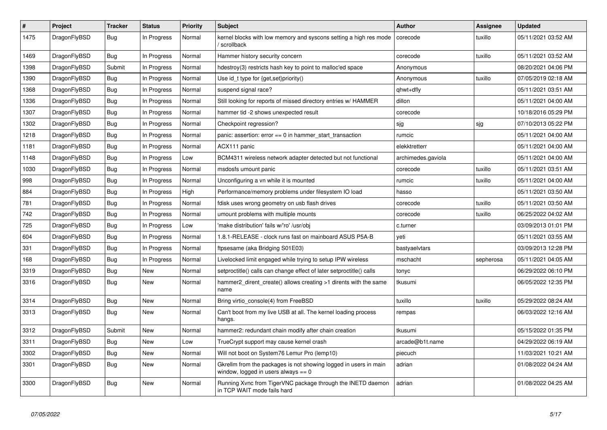| $\vert$ # | <b>Project</b> | <b>Tracker</b> | <b>Status</b> | <b>Priority</b> | <b>Subject</b>                                                                                            | Author             | Assignee  | <b>Updated</b>      |
|-----------|----------------|----------------|---------------|-----------------|-----------------------------------------------------------------------------------------------------------|--------------------|-----------|---------------------|
| 1475      | DragonFlyBSD   | Bug            | In Progress   | Normal          | kernel blocks with low memory and syscons setting a high res mode<br>/ scrollback                         | corecode           | tuxillo   | 05/11/2021 03:52 AM |
| 1469      | DragonFlyBSD   | <b>Bug</b>     | In Progress   | Normal          | Hammer history security concern                                                                           | corecode           | tuxillo   | 05/11/2021 03:52 AM |
| 1398      | DragonFlyBSD   | Submit         | In Progress   | Normal          | hdestroy(3) restricts hash key to point to malloc'ed space                                                | Anonymous          |           | 08/20/2021 04:06 PM |
| 1390      | DragonFlyBSD   | Bug            | In Progress   | Normal          | Use id_t type for {get,set}priority()                                                                     | Anonymous          | tuxillo   | 07/05/2019 02:18 AM |
| 1368      | DragonFlyBSD   | Bug            | In Progress   | Normal          | suspend signal race?                                                                                      | qhwt+dfly          |           | 05/11/2021 03:51 AM |
| 1336      | DragonFlyBSD   | Bug            | In Progress   | Normal          | Still looking for reports of missed directory entries w/ HAMMER                                           | dillon             |           | 05/11/2021 04:00 AM |
| 1307      | DragonFlyBSD   | <b>Bug</b>     | In Progress   | Normal          | hammer tid -2 shows unexpected result                                                                     | corecode           |           | 10/18/2016 05:29 PM |
| 1302      | DragonFlyBSD   | Bug            | In Progress   | Normal          | Checkpoint regression?                                                                                    | sjg                | sjg       | 07/10/2013 05:22 PM |
| 1218      | DragonFlyBSD   | Bug            | In Progress   | Normal          | panic: assertion: $error == 0$ in hammer start transaction                                                | rumcic             |           | 05/11/2021 04:00 AM |
| 1181      | DragonFlyBSD   | Bug            | In Progress   | Normal          | ACX111 panic                                                                                              | elekktretterr      |           | 05/11/2021 04:00 AM |
| 1148      | DragonFlyBSD   | <b>Bug</b>     | In Progress   | Low             | BCM4311 wireless network adapter detected but not functional                                              | archimedes.gaviola |           | 05/11/2021 04:00 AM |
| 1030      | DragonFlyBSD   | Bug            | In Progress   | Normal          | msdosfs umount panic                                                                                      | corecode           | tuxillo   | 05/11/2021 03:51 AM |
| 998       | DragonFlyBSD   | Bug            | In Progress   | Normal          | Unconfiguring a vn while it is mounted                                                                    | rumcic             | tuxillo   | 05/11/2021 04:00 AM |
| 884       | DragonFlyBSD   | Bug            | In Progress   | High            | Performance/memory problems under filesystem IO load                                                      | hasso              |           | 05/11/2021 03:50 AM |
| 781       | DragonFlyBSD   | <b>Bug</b>     | In Progress   | Normal          | fdisk uses wrong geometry on usb flash drives                                                             | corecode           | tuxillo   | 05/11/2021 03:50 AM |
| 742       | DragonFlyBSD   | <b>Bug</b>     | In Progress   | Normal          | umount problems with multiple mounts                                                                      | corecode           | tuxillo   | 06/25/2022 04:02 AM |
| 725       | DragonFlyBSD   | <b>Bug</b>     | In Progress   | Low             | 'make distribution' fails w/'ro' /usr/obj                                                                 | c.turner           |           | 03/09/2013 01:01 PM |
| 604       | DragonFlyBSD   | Bug            | In Progress   | Normal          | 1.8.1-RELEASE - clock runs fast on mainboard ASUS P5A-B                                                   | yeti               |           | 05/11/2021 03:55 AM |
| 331       | DragonFlyBSD   | Bug            | In Progress   | Normal          | ftpsesame (aka Bridging S01E03)                                                                           | bastyaelvtars      |           | 03/09/2013 12:28 PM |
| 168       | DragonFlyBSD   | <b>Bug</b>     | In Progress   | Normal          | Livelocked limit engaged while trying to setup IPW wireless                                               | mschacht           | sepherosa | 05/11/2021 04:05 AM |
| 3319      | DragonFlyBSD   | <b>Bug</b>     | <b>New</b>    | Normal          | setproctitle() calls can change effect of later setproctitle() calls                                      | tonyc              |           | 06/29/2022 06:10 PM |
| 3316      | DragonFlyBSD   | Bug            | New           | Normal          | hammer2_dirent_create() allows creating >1 dirents with the same<br>name                                  | tkusumi            |           | 06/05/2022 12:35 PM |
| 3314      | DragonFlyBSD   | <b>Bug</b>     | <b>New</b>    | Normal          | Bring virtio console(4) from FreeBSD                                                                      | tuxillo            | tuxillo   | 05/29/2022 08:24 AM |
| 3313      | DragonFlyBSD   | <b>Bug</b>     | <b>New</b>    | Normal          | Can't boot from my live USB at all. The kernel loading process<br>hangs.                                  | rempas             |           | 06/03/2022 12:16 AM |
| 3312      | DragonFlyBSD   | Submit         | <b>New</b>    | Normal          | hammer2: redundant chain modify after chain creation                                                      | tkusumi            |           | 05/15/2022 01:35 PM |
| 3311      | DragonFlyBSD   | Bug            | New           | Low             | TrueCrypt support may cause kernel crash                                                                  | arcade@b1t.name    |           | 04/29/2022 06:19 AM |
| 3302      | DragonFlyBSD   | <b>Bug</b>     | New           | Normal          | Will not boot on System76 Lemur Pro (lemp10)                                                              | piecuch            |           | 11/03/2021 10:21 AM |
| 3301      | DragonFlyBSD   | <b>Bug</b>     | <b>New</b>    | Normal          | Gkrellm from the packages is not showing logged in users in main<br>window, logged in users always $== 0$ | adrian             |           | 01/08/2022 04:24 AM |
| 3300      | DragonFlyBSD   | <b>Bug</b>     | New           | Normal          | Running Xvnc from TigerVNC package through the INETD daemon<br>in TCP WAIT mode fails hard                | adrian             |           | 01/08/2022 04:25 AM |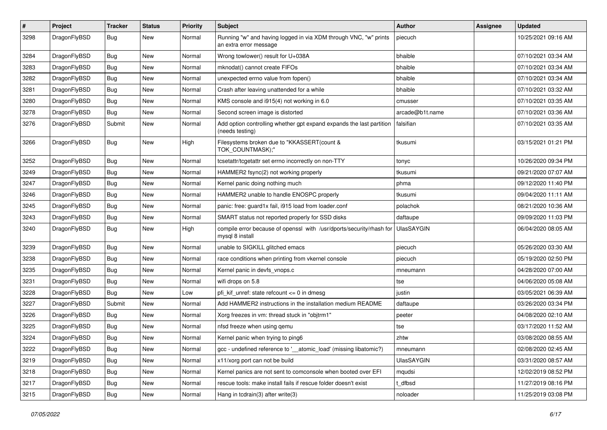| $\vert$ # | Project      | <b>Tracker</b> | <b>Status</b> | <b>Priority</b> | <b>Subject</b>                                                                             | Author            | <b>Assignee</b> | <b>Updated</b>      |
|-----------|--------------|----------------|---------------|-----------------|--------------------------------------------------------------------------------------------|-------------------|-----------------|---------------------|
| 3298      | DragonFlyBSD | Bug            | New           | Normal          | Running "w" and having logged in via XDM through VNC, "w" prints<br>an extra error message | piecuch           |                 | 10/25/2021 09:16 AM |
| 3284      | DragonFlyBSD | <b>Bug</b>     | <b>New</b>    | Normal          | Wrong towlower() result for U+038A                                                         | bhaible           |                 | 07/10/2021 03:34 AM |
| 3283      | DragonFlyBSD | Bug            | <b>New</b>    | Normal          | mknodat() cannot create FIFOs                                                              | bhaible           |                 | 07/10/2021 03:34 AM |
| 3282      | DragonFlyBSD | <b>Bug</b>     | <b>New</b>    | Normal          | unexpected errno value from fopen()                                                        | bhaible           |                 | 07/10/2021 03:34 AM |
| 3281      | DragonFlyBSD | <b>Bug</b>     | New           | Normal          | Crash after leaving unattended for a while                                                 | bhaible           |                 | 07/10/2021 03:32 AM |
| 3280      | DragonFlyBSD | Bug            | <b>New</b>    | Normal          | KMS console and i915(4) not working in 6.0                                                 | cmusser           |                 | 07/10/2021 03:35 AM |
| 3278      | DragonFlyBSD | <b>Bug</b>     | New           | Normal          | Second screen image is distorted                                                           | arcade@b1t.name   |                 | 07/10/2021 03:36 AM |
| 3276      | DragonFlyBSD | Submit         | <b>New</b>    | Normal          | Add option controlling whether gpt expand expands the last partition<br>(needs testing)    | falsifian         |                 | 07/10/2021 03:35 AM |
| 3266      | DragonFlyBSD | Bug            | New           | High            | Filesystems broken due to "KKASSERT(count &<br>TOK_COUNTMASK);"                            | tkusumi           |                 | 03/15/2021 01:21 PM |
| 3252      | DragonFlyBSD | Bug            | <b>New</b>    | Normal          | tcsetattr/tcgetattr set errno incorrectly on non-TTY                                       | tonyc             |                 | 10/26/2020 09:34 PM |
| 3249      | DragonFlyBSD | Bug            | New           | Normal          | HAMMER2 fsync(2) not working properly                                                      | tkusumi           |                 | 09/21/2020 07:07 AM |
| 3247      | DragonFlyBSD | Bug            | <b>New</b>    | Normal          | Kernel panic doing nothing much                                                            | phma              |                 | 09/12/2020 11:40 PM |
| 3246      | DragonFlyBSD | <b>Bug</b>     | New           | Normal          | HAMMER2 unable to handle ENOSPC properly                                                   | tkusumi           |                 | 09/04/2020 11:11 AM |
| 3245      | DragonFlyBSD | Bug            | <b>New</b>    | Normal          | panic: free: guard1x fail, i915 load from loader.conf                                      | polachok          |                 | 08/21/2020 10:36 AM |
| 3243      | DragonFlyBSD | <b>Bug</b>     | <b>New</b>    | Normal          | SMART status not reported properly for SSD disks                                           | daftaupe          |                 | 09/09/2020 11:03 PM |
| 3240      | DragonFlyBSD | <b>Bug</b>     | <b>New</b>    | High            | compile error because of openssl with /usr/dports/security/rhash for<br>mysql 8 install    | <b>UlasSAYGIN</b> |                 | 06/04/2020 08:05 AM |
| 3239      | DragonFlyBSD | Bug            | <b>New</b>    | Normal          | unable to SIGKILL glitched emacs                                                           | piecuch           |                 | 05/26/2020 03:30 AM |
| 3238      | DragonFlyBSD | <b>Bug</b>     | New           | Normal          | race conditions when printing from vkernel console                                         | piecuch           |                 | 05/19/2020 02:50 PM |
| 3235      | DragonFlyBSD | Bug            | <b>New</b>    | Normal          | Kernel panic in devfs_vnops.c                                                              | mneumann          |                 | 04/28/2020 07:00 AM |
| 3231      | DragonFlyBSD | <b>Bug</b>     | New           | Normal          | wifi drops on 5.8                                                                          | tse               |                 | 04/06/2020 05:08 AM |
| 3228      | DragonFlyBSD | Bug            | <b>New</b>    | Low             | pfi kif unref: state refcount $\leq 0$ in dmesg                                            | justin            |                 | 03/05/2021 06:39 AM |
| 3227      | DragonFlyBSD | Submit         | <b>New</b>    | Normal          | Add HAMMER2 instructions in the installation medium README                                 | daftaupe          |                 | 03/26/2020 03:34 PM |
| 3226      | DragonFlyBSD | <b>Bug</b>     | New           | Normal          | Xorg freezes in vm: thread stuck in "objtrm1"                                              | peeter            |                 | 04/08/2020 02:10 AM |
| 3225      | DragonFlyBSD | Bug            | New           | Normal          | nfsd freeze when using qemu                                                                | tse               |                 | 03/17/2020 11:52 AM |
| 3224      | DragonFlyBSD | <b>Bug</b>     | New           | Normal          | Kernel panic when trying to ping6                                                          | zhtw              |                 | 03/08/2020 08:55 AM |
| 3222      | DragonFlyBSD | <b>Bug</b>     | New           | Normal          | gcc - undefined reference to '__atomic_load' (missing libatomic?)                          | mneumann          |                 | 02/08/2020 02:45 AM |
| 3219      | DragonFlyBSD | Bug            | New           | Normal          | x11/xorg port can not be build                                                             | <b>UlasSAYGIN</b> |                 | 03/31/2020 08:57 AM |
| 3218      | DragonFlyBSD | <b>Bug</b>     | New           | Normal          | Kernel panics are not sent to comconsole when booted over EFI                              | mqudsi            |                 | 12/02/2019 08:52 PM |
| 3217      | DragonFlyBSD | <b>Bug</b>     | New           | Normal          | rescue tools: make install fails if rescue folder doesn't exist                            | t dfbsd           |                 | 11/27/2019 08:16 PM |
| 3215      | DragonFlyBSD | <b>Bug</b>     | New           | Normal          | Hang in tcdrain(3) after write(3)                                                          | noloader          |                 | 11/25/2019 03:08 PM |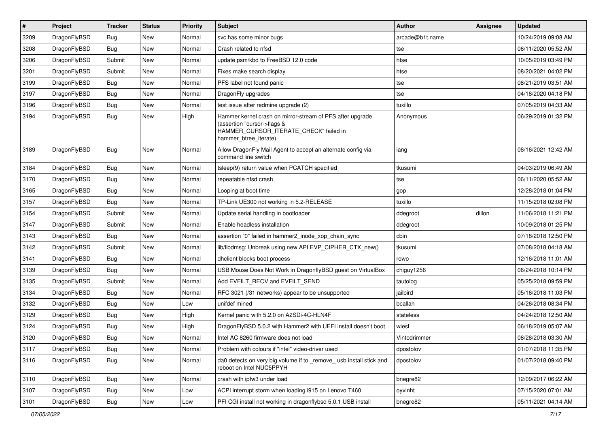| $\sharp$ | Project      | <b>Tracker</b> | <b>Status</b> | <b>Priority</b> | Subject                                                                                                                                                     | Author          | Assignee | <b>Updated</b>      |
|----------|--------------|----------------|---------------|-----------------|-------------------------------------------------------------------------------------------------------------------------------------------------------------|-----------------|----------|---------------------|
| 3209     | DragonFlyBSD | <b>Bug</b>     | <b>New</b>    | Normal          | svc has some minor bugs                                                                                                                                     | arcade@b1t.name |          | 10/24/2019 09:08 AM |
| 3208     | DragonFlyBSD | <b>Bug</b>     | New           | Normal          | Crash related to nfsd                                                                                                                                       | tse             |          | 06/11/2020 05:52 AM |
| 3206     | DragonFlyBSD | Submit         | New           | Normal          | update psm/kbd to FreeBSD 12.0 code                                                                                                                         | htse            |          | 10/05/2019 03:49 PM |
| 3201     | DragonFlyBSD | Submit         | New           | Normal          | Fixes make search display                                                                                                                                   | htse            |          | 08/20/2021 04:02 PM |
| 3199     | DragonFlyBSD | <b>Bug</b>     | <b>New</b>    | Normal          | PFS label not found panic                                                                                                                                   | tse             |          | 08/21/2019 03:51 AM |
| 3197     | DragonFlyBSD | <b>Bug</b>     | <b>New</b>    | Normal          | DragonFly upgrades                                                                                                                                          | tse             |          | 04/18/2020 04:18 PM |
| 3196     | DragonFlyBSD | <b>Bug</b>     | New           | Normal          | test issue after redmine upgrade (2)                                                                                                                        | tuxillo         |          | 07/05/2019 04:33 AM |
| 3194     | DragonFlyBSD | <b>Bug</b>     | <b>New</b>    | High            | Hammer kernel crash on mirror-stream of PFS after upgrade<br>(assertion "cursor->flags &<br>HAMMER_CURSOR_ITERATE_CHECK" failed in<br>hammer_btree_iterate) | Anonymous       |          | 06/29/2019 01:32 PM |
| 3189     | DragonFlyBSD | <b>Bug</b>     | New           | Normal          | Allow DragonFly Mail Agent to accept an alternate config via<br>command line switch                                                                         | iang            |          | 08/16/2021 12:42 AM |
| 3184     | DragonFlyBSD | <b>Bug</b>     | <b>New</b>    | Normal          | tsleep(9) return value when PCATCH specified                                                                                                                | tkusumi         |          | 04/03/2019 06:49 AM |
| 3170     | DragonFlyBSD | <b>Bug</b>     | <b>New</b>    | Normal          | repeatable nfsd crash                                                                                                                                       | tse             |          | 06/11/2020 05:52 AM |
| 3165     | DragonFlyBSD | <b>Bug</b>     | New           | Normal          | Looping at boot time                                                                                                                                        | gop             |          | 12/28/2018 01:04 PM |
| 3157     | DragonFlyBSD | <b>Bug</b>     | <b>New</b>    | Normal          | TP-Link UE300 not working in 5.2-RELEASE                                                                                                                    | tuxillo         |          | 11/15/2018 02:08 PM |
| 3154     | DragonFlyBSD | Submit         | New           | Normal          | Update serial handling in bootloader                                                                                                                        | ddegroot        | dillon   | 11/06/2018 11:21 PM |
| 3147     | DragonFlyBSD | Submit         | New           | Normal          | Enable headless installation                                                                                                                                | ddegroot        |          | 10/09/2018 01:25 PM |
| 3143     | DragonFlyBSD | <b>Bug</b>     | New           | Normal          | assertion "0" failed in hammer2_inode_xop_chain_sync                                                                                                        | cbin            |          | 07/18/2018 12:50 PM |
| 3142     | DragonFlyBSD | Submit         | <b>New</b>    | Normal          | lib/libdmsg: Unbreak using new API EVP_CIPHER_CTX_new()                                                                                                     | tkusumi         |          | 07/08/2018 04:18 AM |
| 3141     | DragonFlyBSD | <b>Bug</b>     | New           | Normal          | dhclient blocks boot process                                                                                                                                | rowo            |          | 12/16/2018 11:01 AM |
| 3139     | DragonFlyBSD | <b>Bug</b>     | <b>New</b>    | Normal          | USB Mouse Does Not Work in DragonflyBSD guest on VirtualBox                                                                                                 | chiguy1256      |          | 06/24/2018 10:14 PM |
| 3135     | DragonFlyBSD | Submit         | New           | Normal          | Add EVFILT_RECV and EVFILT_SEND                                                                                                                             | tautolog        |          | 05/25/2018 09:59 PM |
| 3134     | DragonFlyBSD | <b>Bug</b>     | New           | Normal          | RFC 3021 (/31 networks) appear to be unsupported                                                                                                            | jailbird        |          | 05/16/2018 11:03 PM |
| 3132     | DragonFlyBSD | <b>Bug</b>     | <b>New</b>    | Low             | unifdef mined                                                                                                                                               | bcallah         |          | 04/26/2018 08:34 PM |
| 3129     | DragonFlyBSD | <b>Bug</b>     | New           | High            | Kernel panic with 5.2.0 on A2SDi-4C-HLN4F                                                                                                                   | stateless       |          | 04/24/2018 12:50 AM |
| 3124     | DragonFlyBSD | <b>Bug</b>     | <b>New</b>    | High            | DragonFlyBSD 5.0.2 with Hammer2 with UEFI install doesn't boot                                                                                              | wiesl           |          | 06/18/2019 05:07 AM |
| 3120     | DragonFlyBSD | <b>Bug</b>     | New           | Normal          | Intel AC 8260 firmware does not load                                                                                                                        | Vintodrimmer    |          | 08/28/2018 03:30 AM |
| 3117     | DragonFlyBSD | <b>Bug</b>     | New           | Normal          | Problem with colours if "intel" video-driver used                                                                                                           | dpostolov       |          | 01/07/2018 11:35 PM |
| 3116     | DragonFlyBSD | <b>Bug</b>     | New           | Normal          | da0 detects on very big volume if to _remove_ usb install stick and<br>reboot on Intel NUC5PPYH                                                             | dpostolov       |          | 01/07/2018 09:40 PM |
| 3110     | DragonFlyBSD | <b>Bug</b>     | <b>New</b>    | Normal          | crash with ipfw3 under load                                                                                                                                 | bnegre82        |          | 12/09/2017 06:22 AM |
| 3107     | DragonFlyBSD | <b>Bug</b>     | <b>New</b>    | Low             | ACPI interrupt storm when loading i915 on Lenovo T460                                                                                                       | oyvinht         |          | 07/15/2020 07:01 AM |
| 3101     | DragonFlyBSD | <b>Bug</b>     | New           | Low             | PFI CGI install not working in dragonflybsd 5.0.1 USB install                                                                                               | bnegre82        |          | 05/11/2021 04:14 AM |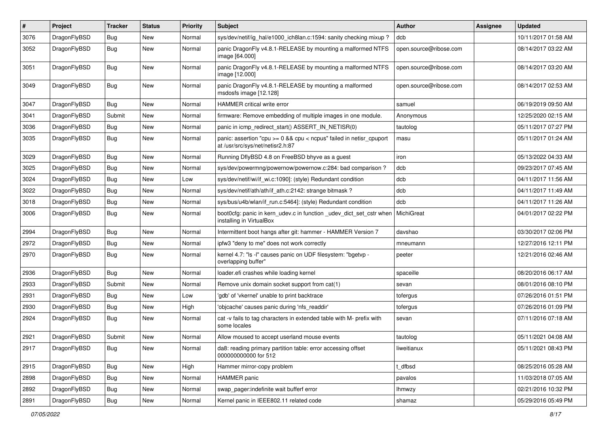| $\pmb{\#}$ | Project      | <b>Tracker</b> | <b>Status</b> | <b>Priority</b> | <b>Subject</b>                                                                                          | Author                 | Assignee | <b>Updated</b>      |
|------------|--------------|----------------|---------------|-----------------|---------------------------------------------------------------------------------------------------------|------------------------|----------|---------------------|
| 3076       | DragonFlyBSD | Bug            | New           | Normal          | sys/dev/netif/ig_hal/e1000_ich8lan.c:1594: sanity checking mixup ?                                      | dcb                    |          | 10/11/2017 01:58 AM |
| 3052       | DragonFlyBSD | <b>Bug</b>     | <b>New</b>    | Normal          | panic DragonFly v4.8.1-RELEASE by mounting a malformed NTFS<br>image [64.000]                           | open.source@ribose.com |          | 08/14/2017 03:22 AM |
| 3051       | DragonFlyBSD | Bug            | New           | Normal          | panic DragonFly v4.8.1-RELEASE by mounting a malformed NTFS<br>image [12.000]                           | open.source@ribose.com |          | 08/14/2017 03:20 AM |
| 3049       | DragonFlyBSD | <b>Bug</b>     | <b>New</b>    | Normal          | panic DragonFly v4.8.1-RELEASE by mounting a malformed<br>msdosfs image [12.128]                        | open.source@ribose.com |          | 08/14/2017 02:53 AM |
| 3047       | DragonFlyBSD | Bug            | <b>New</b>    | Normal          | HAMMER critical write error                                                                             | samuel                 |          | 06/19/2019 09:50 AM |
| 3041       | DragonFlyBSD | Submit         | New           | Normal          | firmware: Remove embedding of multiple images in one module.                                            | Anonymous              |          | 12/25/2020 02:15 AM |
| 3036       | DragonFlyBSD | Bug            | <b>New</b>    | Normal          | panic in icmp_redirect_start() ASSERT_IN_NETISR(0)                                                      | tautolog               |          | 05/11/2017 07:27 PM |
| 3035       | DragonFlyBSD | <b>Bug</b>     | New           | Normal          | panic: assertion "cpu >= 0 && cpu < ncpus" failed in netisr_cpuport<br>at /usr/src/sys/net/netisr2.h:87 | masu                   |          | 05/11/2017 01:24 AM |
| 3029       | DragonFlyBSD | Bug            | <b>New</b>    | Normal          | Running DflyBSD 4.8 on FreeBSD bhyve as a guest                                                         | iron                   |          | 05/13/2022 04:33 AM |
| 3025       | DragonFlyBSD | Bug            | <b>New</b>    | Normal          | sys/dev/powermng/powernow/powernow.c:284: bad comparison?                                               | dcb                    |          | 09/23/2017 07:45 AM |
| 3024       | DragonFlyBSD | <b>Bug</b>     | <b>New</b>    | Low             | sys/dev/netif/wi/if wi.c:1090]: (style) Redundant condition                                             | dcb                    |          | 04/11/2017 11:56 AM |
| 3022       | DragonFlyBSD | <b>Bug</b>     | New           | Normal          | sys/dev/netif/ath/ath/if_ath.c:2142: strange bitmask?                                                   | dcb                    |          | 04/11/2017 11:49 AM |
| 3018       | DragonFlyBSD | Bug            | New           | Normal          | sys/bus/u4b/wlan/if_run.c:5464]: (style) Redundant condition                                            | dcb                    |          | 04/11/2017 11:26 AM |
| 3006       | DragonFlyBSD | Bug            | New           | Normal          | boot0cfg: panic in kern_udev.c in function _udev_dict_set_cstr when<br>installing in VirtualBox         | <b>MichiGreat</b>      |          | 04/01/2017 02:22 PM |
| 2994       | DragonFlyBSD | <b>Bug</b>     | <b>New</b>    | Normal          | Intermittent boot hangs after git: hammer - HAMMER Version 7                                            | davshao                |          | 03/30/2017 02:06 PM |
| 2972       | DragonFlyBSD | Bug            | <b>New</b>    | Normal          | ipfw3 "deny to me" does not work correctly                                                              | mneumann               |          | 12/27/2016 12:11 PM |
| 2970       | DragonFlyBSD | Bug            | New           | Normal          | kernel 4.7: "Is -I" causes panic on UDF filesystem: "bgetvp -<br>overlapping buffer"                    | peeter                 |          | 12/21/2016 02:46 AM |
| 2936       | DragonFlyBSD | Bug            | New           | Normal          | loader.efi crashes while loading kernel                                                                 | spaceille              |          | 08/20/2016 06:17 AM |
| 2933       | DragonFlyBSD | Submit         | New           | Normal          | Remove unix domain socket support from cat(1)                                                           | sevan                  |          | 08/01/2016 08:10 PM |
| 2931       | DragonFlyBSD | Bug            | <b>New</b>    | Low             | 'gdb' of 'vkernel' unable to print backtrace                                                            | tofergus               |          | 07/26/2016 01:51 PM |
| 2930       | DragonFlyBSD | Bug            | <b>New</b>    | High            | 'objcache' causes panic during 'nfs_readdir'                                                            | tofergus               |          | 07/26/2016 01:09 PM |
| 2924       | DragonFlyBSD | <b>Bug</b>     | New           | Normal          | cat -v fails to tag characters in extended table with M- prefix with<br>some locales                    | sevan                  |          | 07/11/2016 07:18 AM |
| 2921       | DragonFlyBSD | Submit         | New           | Normal          | Allow moused to accept userland mouse events                                                            | tautolog               |          | 05/11/2021 04:08 AM |
| 2917       | DragonFlyBSD | <b>Bug</b>     | New           | Normal          | da8: reading primary partition table: error accessing offset<br>000000000000 for 512                    | liweitianux            |          | 05/11/2021 08:43 PM |
| 2915       | DragonFlyBSD | <b>Bug</b>     | New           | High            | Hammer mirror-copy problem                                                                              | t_dfbsd                |          | 08/25/2016 05:28 AM |
| 2898       | DragonFlyBSD | <b>Bug</b>     | New           | Normal          | HAMMER panic                                                                                            | pavalos                |          | 11/03/2018 07:05 AM |
| 2892       | DragonFlyBSD | <b>Bug</b>     | New           | Normal          | swap_pager:indefinite wait bufferf error                                                                | <b>Ihmwzy</b>          |          | 02/21/2016 10:32 PM |
| 2891       | DragonFlyBSD | Bug            | New           | Normal          | Kernel panic in IEEE802.11 related code                                                                 | shamaz                 |          | 05/29/2016 05:49 PM |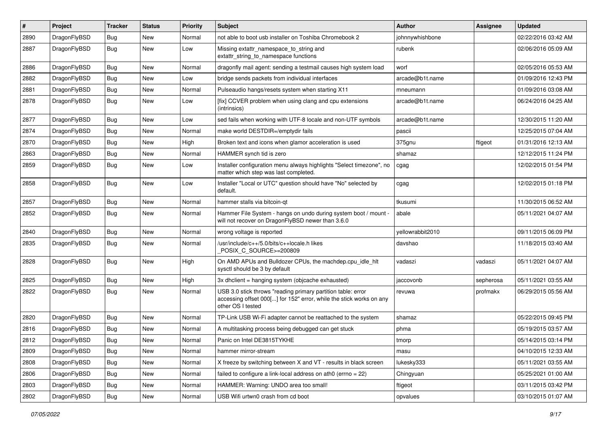| $\sharp$ | Project      | <b>Tracker</b> | <b>Status</b> | <b>Priority</b> | Subject                                                                                                                                                  | <b>Author</b>    | <b>Assignee</b> | <b>Updated</b>      |
|----------|--------------|----------------|---------------|-----------------|----------------------------------------------------------------------------------------------------------------------------------------------------------|------------------|-----------------|---------------------|
| 2890     | DragonFlyBSD | <b>Bug</b>     | New           | Normal          | not able to boot usb installer on Toshiba Chromebook 2                                                                                                   | johnnywhishbone  |                 | 02/22/2016 03:42 AM |
| 2887     | DragonFlyBSD | <b>Bug</b>     | New           | Low             | Missing extattr_namespace_to_string and<br>extattr string to namespace functions                                                                         | rubenk           |                 | 02/06/2016 05:09 AM |
| 2886     | DragonFlyBSD | <b>Bug</b>     | <b>New</b>    | Normal          | dragonfly mail agent: sending a testmail causes high system load                                                                                         | worf             |                 | 02/05/2016 05:53 AM |
| 2882     | DragonFlyBSD | Bug            | New           | Low             | bridge sends packets from individual interfaces                                                                                                          | arcade@b1t.name  |                 | 01/09/2016 12:43 PM |
| 2881     | DragonFlyBSD | Bug            | New           | Normal          | Pulseaudio hangs/resets system when starting X11                                                                                                         | mneumann         |                 | 01/09/2016 03:08 AM |
| 2878     | DragonFlyBSD | <b>Bug</b>     | New           | Low             | [fix] CCVER problem when using clang and cpu extensions<br>(intrinsics)                                                                                  | arcade@b1t.name  |                 | 06/24/2016 04:25 AM |
| 2877     | DragonFlyBSD | Bug            | <b>New</b>    | Low             | sed fails when working with UTF-8 locale and non-UTF symbols                                                                                             | arcade@b1t.name  |                 | 12/30/2015 11:20 AM |
| 2874     | DragonFlyBSD | Bug            | <b>New</b>    | Normal          | make world DESTDIR=/emptydir fails                                                                                                                       | pascii           |                 | 12/25/2015 07:04 AM |
| 2870     | DragonFlyBSD | Bug            | New           | High            | Broken text and icons when glamor acceleration is used                                                                                                   | 375gnu           | ftigeot         | 01/31/2016 12:13 AM |
| 2863     | DragonFlyBSD | Bug            | <b>New</b>    | Normal          | HAMMER synch tid is zero                                                                                                                                 | shamaz           |                 | 12/12/2015 11:24 PM |
| 2859     | DragonFlyBSD | Bug            | New           | Low             | Installer configuration menu always highlights "Select timezone", no<br>matter which step was last completed.                                            | cgag             |                 | 12/02/2015 01:54 PM |
| 2858     | DragonFlyBSD | Bug            | New           | Low             | Installer "Local or UTC" question should have "No" selected by<br>default.                                                                               | cgag             |                 | 12/02/2015 01:18 PM |
| 2857     | DragonFlyBSD | Bug            | New           | Normal          | hammer stalls via bitcoin-qt                                                                                                                             | tkusumi          |                 | 11/30/2015 06:52 AM |
| 2852     | DragonFlyBSD | Bug            | New           | Normal          | Hammer File System - hangs on undo during system boot / mount -<br>will not recover on DragonFlyBSD newer than 3.6.0                                     | abale            |                 | 05/11/2021 04:07 AM |
| 2840     | DragonFlyBSD | Bug            | <b>New</b>    | Normal          | wrong voltage is reported                                                                                                                                | yellowrabbit2010 |                 | 09/11/2015 06:09 PM |
| 2835     | DragonFlyBSD | <b>Bug</b>     | New           | Normal          | /usr/include/c++/5.0/bits/c++locale.h likes<br>POSIX C SOURCE>=200809                                                                                    | davshao          |                 | 11/18/2015 03:40 AM |
| 2828     | DragonFlyBSD | Bug            | New           | High            | On AMD APUs and Bulldozer CPUs, the machdep.cpu_idle_hlt<br>sysctl should be 3 by default                                                                | vadaszi          | vadaszi         | 05/11/2021 04:07 AM |
| 2825     | DragonFlyBSD | <b>Bug</b>     | New           | High            | 3x dhclient = hanging system (objcache exhausted)                                                                                                        | jaccovonb        | sepherosa       | 05/11/2021 03:55 AM |
| 2822     | DragonFlyBSD | <b>Bug</b>     | New           | Normal          | USB 3.0 stick throws "reading primary partition table: error<br>accessing offset 000[] for 152" error, while the stick works on any<br>other OS I tested | revuwa           | profmakx        | 06/29/2015 05:56 AM |
| 2820     | DragonFlyBSD | <b>Bug</b>     | <b>New</b>    | Normal          | TP-Link USB Wi-Fi adapter cannot be reattached to the system                                                                                             | shamaz           |                 | 05/22/2015 09:45 PM |
| 2816     | DragonFlyBSD | <b>Bug</b>     | New           | Normal          | A multitasking process being debugged can get stuck                                                                                                      | phma             |                 | 05/19/2015 03:57 AM |
| 2812     | DragonFlyBSD | <b>Bug</b>     | <b>New</b>    | Normal          | Panic on Intel DE3815TYKHE                                                                                                                               | tmorp            |                 | 05/14/2015 03:14 PM |
| 2809     | DragonFlyBSD | <b>Bug</b>     | <b>New</b>    | Normal          | hammer mirror-stream                                                                                                                                     | masu             |                 | 04/10/2015 12:33 AM |
| 2808     | DragonFlyBSD | <b>Bug</b>     | New           | Normal          | X freeze by switching between X and VT - results in black screen                                                                                         | lukesky333       |                 | 05/11/2021 03:55 AM |
| 2806     | DragonFlyBSD | <b>Bug</b>     | <b>New</b>    | Normal          | failed to configure a link-local address on ath0 (errno = 22)                                                                                            | Chingyuan        |                 | 05/25/2021 01:00 AM |
| 2803     | DragonFlyBSD | <b>Bug</b>     | New           | Normal          | HAMMER: Warning: UNDO area too small!                                                                                                                    | ftigeot          |                 | 03/11/2015 03:42 PM |
| 2802     | DragonFlyBSD | <b>Bug</b>     | New           | Normal          | USB Wifi urtwn0 crash from cd boot                                                                                                                       | opvalues         |                 | 03/10/2015 01:07 AM |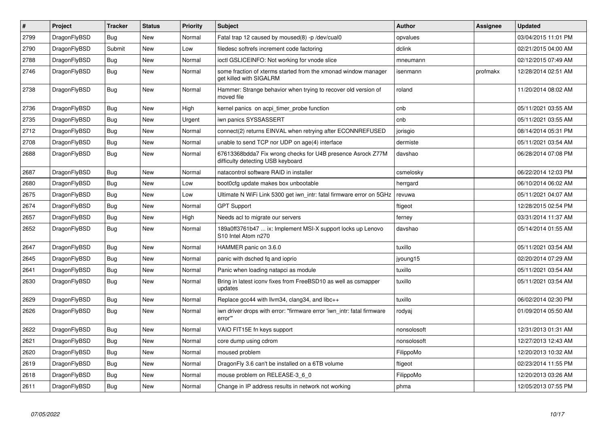| $\vert$ # | Project      | <b>Tracker</b> | <b>Status</b> | <b>Priority</b> | <b>Subject</b>                                                                                   | <b>Author</b> | Assignee | <b>Updated</b>      |
|-----------|--------------|----------------|---------------|-----------------|--------------------------------------------------------------------------------------------------|---------------|----------|---------------------|
| 2799      | DragonFlyBSD | <b>Bug</b>     | <b>New</b>    | Normal          | Fatal trap 12 caused by moused(8) -p /dev/cual0                                                  | opvalues      |          | 03/04/2015 11:01 PM |
| 2790      | DragonFlyBSD | Submit         | <b>New</b>    | Low             | filedesc softrefs increment code factoring                                                       | dclink        |          | 02/21/2015 04:00 AM |
| 2788      | DragonFlyBSD | <b>Bug</b>     | <b>New</b>    | Normal          | ioctl GSLICEINFO: Not working for vnode slice                                                    | mneumann      |          | 02/12/2015 07:49 AM |
| 2746      | DragonFlyBSD | <b>Bug</b>     | <b>New</b>    | Normal          | some fraction of xterms started from the xmonad window manager<br>get killed with SIGALRM        | isenmann      | profmakx | 12/28/2014 02:51 AM |
| 2738      | DragonFlyBSD | <b>Bug</b>     | <b>New</b>    | Normal          | Hammer: Strange behavior when trying to recover old version of<br>moved file                     | roland        |          | 11/20/2014 08:02 AM |
| 2736      | DragonFlyBSD | <b>Bug</b>     | <b>New</b>    | High            | kernel panics on acpi_timer_probe function                                                       | cnb           |          | 05/11/2021 03:55 AM |
| 2735      | DragonFlyBSD | Bug            | <b>New</b>    | Urgent          | iwn panics SYSSASSERT                                                                            | cnb           |          | 05/11/2021 03:55 AM |
| 2712      | DragonFlyBSD | <b>Bug</b>     | <b>New</b>    | Normal          | connect(2) returns EINVAL when retrying after ECONNREFUSED                                       | jorisgio      |          | 08/14/2014 05:31 PM |
| 2708      | DragonFlyBSD | <b>Bug</b>     | <b>New</b>    | Normal          | unable to send TCP nor UDP on age(4) interface                                                   | dermiste      |          | 05/11/2021 03:54 AM |
| 2688      | DragonFlyBSD | <b>Bug</b>     | <b>New</b>    | Normal          | 67613368bdda7 Fix wrong checks for U4B presence Asrock Z77M<br>difficulty detecting USB keyboard | davshao       |          | 06/28/2014 07:08 PM |
| 2687      | DragonFlyBSD | Bug            | <b>New</b>    | Normal          | natacontrol software RAID in installer                                                           | csmelosky     |          | 06/22/2014 12:03 PM |
| 2680      | DragonFlyBSD | <b>Bug</b>     | <b>New</b>    | Low             | boot0cfg update makes box unbootable                                                             | herrgard      |          | 06/10/2014 06:02 AM |
| 2675      | DragonFlyBSD | Bug            | <b>New</b>    | Low             | Ultimate N WiFi Link 5300 get iwn intr: fatal firmware error on 5GHz                             | revuwa        |          | 05/11/2021 04:07 AM |
| 2674      | DragonFlyBSD | <b>Bug</b>     | <b>New</b>    | Normal          | <b>GPT Support</b>                                                                               | ftigeot       |          | 12/28/2015 02:54 PM |
| 2657      | DragonFlyBSD | <b>Bug</b>     | <b>New</b>    | High            | Needs acl to migrate our servers                                                                 | ferney        |          | 03/31/2014 11:37 AM |
| 2652      | DragonFlyBSD | <b>Bug</b>     | <b>New</b>    | Normal          | 189a0ff3761b47  ix: Implement MSI-X support locks up Lenovo<br>S10 Intel Atom n270               | davshao       |          | 05/14/2014 01:55 AM |
| 2647      | DragonFlyBSD | <b>Bug</b>     | <b>New</b>    | Normal          | HAMMER panic on 3.6.0                                                                            | tuxillo       |          | 05/11/2021 03:54 AM |
| 2645      | DragonFlyBSD | <b>Bug</b>     | <b>New</b>    | Normal          | panic with dsched fq and ioprio                                                                  | jyoung15      |          | 02/20/2014 07:29 AM |
| 2641      | DragonFlyBSD | Bug            | <b>New</b>    | Normal          | Panic when loading natapci as module                                                             | tuxillo       |          | 05/11/2021 03:54 AM |
| 2630      | DragonFlyBSD | Bug            | <b>New</b>    | Normal          | Bring in latest iconv fixes from FreeBSD10 as well as csmapper<br>updates                        | tuxillo       |          | 05/11/2021 03:54 AM |
| 2629      | DragonFlyBSD | <b>Bug</b>     | <b>New</b>    | Normal          | Replace gcc44 with llvm34, clang34, and libc++                                                   | tuxillo       |          | 06/02/2014 02:30 PM |
| 2626      | DragonFlyBSD | Bug            | <b>New</b>    | Normal          | iwn driver drops with error: "firmware error 'iwn intr: fatal firmware<br>error"                 | rodyaj        |          | 01/09/2014 05:50 AM |
| 2622      | DragonFlyBSD | Bug            | <b>New</b>    | Normal          | VAIO FIT15E fn keys support                                                                      | nonsolosoft   |          | 12/31/2013 01:31 AM |
| 2621      | DragonFlyBSD | <b>Bug</b>     | New           | Normal          | core dump using cdrom                                                                            | nonsolosoft   |          | 12/27/2013 12:43 AM |
| 2620      | DragonFlyBSD | Bug            | <b>New</b>    | Normal          | moused problem                                                                                   | FilippoMo     |          | 12/20/2013 10:32 AM |
| 2619      | DragonFlyBSD | <b>Bug</b>     | <b>New</b>    | Normal          | DragonFly 3.6 can't be installed on a 6TB volume                                                 | ftigeot       |          | 02/23/2014 11:55 PM |
| 2618      | DragonFlyBSD | Bug            | New           | Normal          | mouse problem on RELEASE-3_6_0                                                                   | FilippoMo     |          | 12/20/2013 03:26 AM |
| 2611      | DragonFlyBSD | <b>Bug</b>     | New           | Normal          | Change in IP address results in network not working                                              | phma          |          | 12/05/2013 07:55 PM |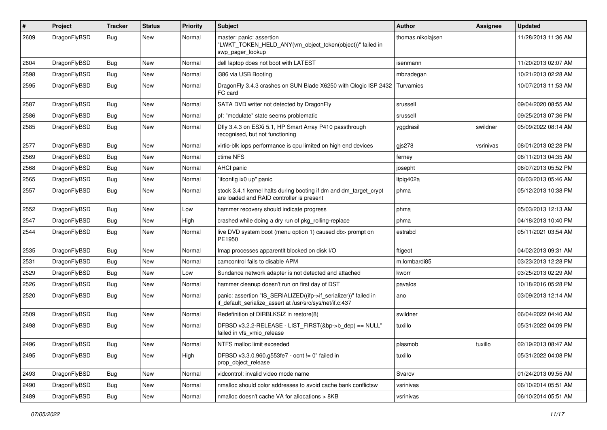| $\pmb{\#}$ | Project      | <b>Tracker</b> | <b>Status</b> | <b>Priority</b> | Subject                                                                                                                      | <b>Author</b>     | <b>Assignee</b> | <b>Updated</b>      |
|------------|--------------|----------------|---------------|-----------------|------------------------------------------------------------------------------------------------------------------------------|-------------------|-----------------|---------------------|
| 2609       | DragonFlyBSD | Bug            | New           | Normal          | master: panic: assertion<br>"LWKT TOKEN HELD ANY(vm object token(object))" failed in<br>swp_pager_lookup                     | thomas.nikolajsen |                 | 11/28/2013 11:36 AM |
| 2604       | DragonFlyBSD | Bug            | <b>New</b>    | Normal          | dell laptop does not boot with LATEST                                                                                        | isenmann          |                 | 11/20/2013 02:07 AM |
| 2598       | DragonFlyBSD | <b>Bug</b>     | <b>New</b>    | Normal          | i386 via USB Booting                                                                                                         | mbzadegan         |                 | 10/21/2013 02:28 AM |
| 2595       | DragonFlyBSD | Bug            | New           | Normal          | DragonFly 3.4.3 crashes on SUN Blade X6250 with Qlogic ISP 2432<br>FC card                                                   | Turvamies         |                 | 10/07/2013 11:53 AM |
| 2587       | DragonFlyBSD | <b>Bug</b>     | <b>New</b>    | Normal          | SATA DVD writer not detected by DragonFly                                                                                    | srussell          |                 | 09/04/2020 08:55 AM |
| 2586       | DragonFlyBSD | Bug            | <b>New</b>    | Normal          | pf: "modulate" state seems problematic                                                                                       | srussell          |                 | 09/25/2013 07:36 PM |
| 2585       | DragonFlyBSD | Bug            | New           | Normal          | Dfly 3.4.3 on ESXi 5.1, HP Smart Array P410 passthrough<br>recognised, but not functioning                                   | yggdrasil         | swildner        | 05/09/2022 08:14 AM |
| 2577       | DragonFlyBSD | Bug            | <b>New</b>    | Normal          | virtio-blk iops performance is cpu limited on high end devices                                                               | gis278            | vsrinivas       | 08/01/2013 02:28 PM |
| 2569       | DragonFlyBSD | <b>Bug</b>     | <b>New</b>    | Normal          | ctime NFS                                                                                                                    | ferney            |                 | 08/11/2013 04:35 AM |
| 2568       | DragonFlyBSD | Bug            | <b>New</b>    | Normal          | <b>AHCI</b> panic                                                                                                            | josepht           |                 | 06/07/2013 05:52 PM |
| 2565       | DragonFlyBSD | <b>Bug</b>     | <b>New</b>    | Normal          | "ifconfig ix0 up" panic                                                                                                      | Itpig402a         |                 | 06/03/2013 05:46 AM |
| 2557       | DragonFlyBSD | Bug            | New           | Normal          | stock 3.4.1 kernel halts during booting if dm and dm_target_crypt<br>are loaded and RAID controller is present               | phma              |                 | 05/12/2013 10:38 PM |
| 2552       | DragonFlyBSD | Bug            | <b>New</b>    | Low             | hammer recovery should indicate progress                                                                                     | phma              |                 | 05/03/2013 12:13 AM |
| 2547       | DragonFlyBSD | Bug            | New           | High            | crashed while doing a dry run of pkg rolling-replace                                                                         | phma              |                 | 04/18/2013 10:40 PM |
| 2544       | DragonFlyBSD | Bug            | New           | Normal          | live DVD system boot (menu option 1) caused db> prompt on<br>PE1950                                                          | estrabd           |                 | 05/11/2021 03:54 AM |
| 2535       | DragonFlyBSD | Bug            | <b>New</b>    | Normal          | Imap processes apparentlt blocked on disk I/O                                                                                | ftigeot           |                 | 04/02/2013 09:31 AM |
| 2531       | DragonFlyBSD | Bug            | New           | Normal          | camcontrol fails to disable APM                                                                                              | m.lombardi85      |                 | 03/23/2013 12:28 PM |
| 2529       | DragonFlyBSD | Bug            | <b>New</b>    | Low             | Sundance network adapter is not detected and attached                                                                        | kworr             |                 | 03/25/2013 02:29 AM |
| 2526       | DragonFlyBSD | Bug            | New           | Normal          | hammer cleanup doesn't run on first day of DST                                                                               | pavalos           |                 | 10/18/2016 05:28 PM |
| 2520       | DragonFlyBSD | Bug            | <b>New</b>    | Normal          | panic: assertion "IS_SERIALIZED((ifp->if_serializer))" failed in<br>if_default_serialize_assert at /usr/src/sys/net/if.c:437 | ano               |                 | 03/09/2013 12:14 AM |
| 2509       | DragonFlyBSD | Bug            | <b>New</b>    | Normal          | Redefinition of DIRBLKSIZ in restore(8)                                                                                      | swildner          |                 | 06/04/2022 04:40 AM |
| 2498       | DragonFlyBSD | Bug            | New           | Normal          | DFBSD v3.2.2-RELEASE - LIST_FIRST(&bp->b_dep) == NULL"<br>failed in vfs_vmio_release                                         | tuxillo           |                 | 05/31/2022 04:09 PM |
| 2496       | DragonFlyBSD | <b>Bug</b>     | New           | Normal          | NTFS malloc limit exceeded                                                                                                   | plasmob           | tuxillo         | 02/19/2013 08:47 AM |
| 2495       | DragonFlyBSD | Bug            | New           | High            | DFBSD v3.3.0.960.g553fe7 - ocnt != 0" failed in<br>prop_object_release                                                       | tuxillo           |                 | 05/31/2022 04:08 PM |
| 2493       | DragonFlyBSD | Bug            | New           | Normal          | vidcontrol: invalid video mode name                                                                                          | Svarov            |                 | 01/24/2013 09:55 AM |
| 2490       | DragonFlyBSD | Bug            | New           | Normal          | nmalloc should color addresses to avoid cache bank conflictsw                                                                | vsrinivas         |                 | 06/10/2014 05:51 AM |
| 2489       | DragonFlyBSD | Bug            | New           | Normal          | nmalloc doesn't cache VA for allocations > 8KB                                                                               | vsrinivas         |                 | 06/10/2014 05:51 AM |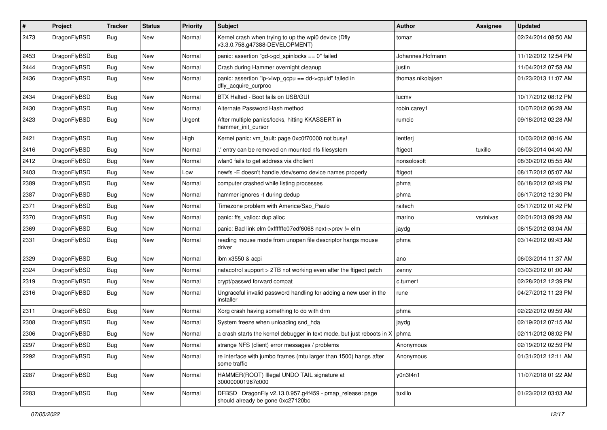| $\#$ | Project      | <b>Tracker</b> | <b>Status</b> | <b>Priority</b> | Subject                                                                                      | Author            | Assignee  | <b>Updated</b>      |
|------|--------------|----------------|---------------|-----------------|----------------------------------------------------------------------------------------------|-------------------|-----------|---------------------|
| 2473 | DragonFlyBSD | <b>Bug</b>     | New           | Normal          | Kernel crash when trying to up the wpi0 device (Dfly<br>v3.3.0.758.g47388-DEVELOPMENT)       | tomaz             |           | 02/24/2014 08:50 AM |
| 2453 | DragonFlyBSD | <b>Bug</b>     | New           | Normal          | panic: assertion "gd->gd_spinlocks == 0" failed                                              | Johannes.Hofmann  |           | 11/12/2012 12:54 PM |
| 2444 | DragonFlyBSD | <b>Bug</b>     | <b>New</b>    | Normal          | Crash during Hammer overnight cleanup                                                        | justin            |           | 11/04/2012 07:58 AM |
| 2436 | DragonFlyBSD | Bug            | New           | Normal          | panic: assertion "lp->lwp_qcpu == dd->cpuid" failed in<br>dfly_acquire_curproc               | thomas.nikolajsen |           | 01/23/2013 11:07 AM |
| 2434 | DragonFlyBSD | <b>Bug</b>     | <b>New</b>    | Normal          | BTX Halted - Boot fails on USB/GUI                                                           | lucmv             |           | 10/17/2012 08:12 PM |
| 2430 | DragonFlyBSD | <b>Bug</b>     | New           | Normal          | Alternate Password Hash method                                                               | robin.carey1      |           | 10/07/2012 06:28 AM |
| 2423 | DragonFlyBSD | <b>Bug</b>     | New           | Urgent          | After multiple panics/locks, hitting KKASSERT in<br>hammer init cursor                       | rumcic            |           | 09/18/2012 02:28 AM |
| 2421 | DragonFlyBSD | <b>Bug</b>     | New           | High            | Kernel panic: vm fault: page 0xc0f70000 not busy!                                            | lentferj          |           | 10/03/2012 08:16 AM |
| 2416 | DragonFlyBSD | <b>Bug</b>     | <b>New</b>    | Normal          | ".' entry can be removed on mounted nfs filesystem                                           | ftigeot           | tuxillo   | 06/03/2014 04:40 AM |
| 2412 | DragonFlyBSD | <b>Bug</b>     | <b>New</b>    | Normal          | wlan0 fails to get address via dhclient                                                      | nonsolosoft       |           | 08/30/2012 05:55 AM |
| 2403 | DragonFlyBSD | <b>Bug</b>     | <b>New</b>    | Low             | newfs -E doesn't handle /dev/serno device names properly                                     | ftigeot           |           | 08/17/2012 05:07 AM |
| 2389 | DragonFlyBSD | <b>Bug</b>     | New           | Normal          | computer crashed while listing processes                                                     | phma              |           | 06/18/2012 02:49 PM |
| 2387 | DragonFlyBSD | <b>Bug</b>     | <b>New</b>    | Normal          | hammer ignores -t during dedup                                                               | phma              |           | 06/17/2012 12:30 PM |
| 2371 | DragonFlyBSD | <b>Bug</b>     | New           | Normal          | Timezone problem with America/Sao_Paulo                                                      | raitech           |           | 05/17/2012 01:42 PM |
| 2370 | DragonFlyBSD | Bug            | New           | Normal          | panic: ffs_valloc: dup alloc                                                                 | marino            | vsrinivas | 02/01/2013 09:28 AM |
| 2369 | DragonFlyBSD | <b>Bug</b>     | New           | Normal          | panic: Bad link elm 0xffffffe07edf6068 next->prev != elm                                     | jaydg             |           | 08/15/2012 03:04 AM |
| 2331 | DragonFlyBSD | <b>Bug</b>     | <b>New</b>    | Normal          | reading mouse mode from unopen file descriptor hangs mouse<br>driver                         | phma              |           | 03/14/2012 09:43 AM |
| 2329 | DragonFlyBSD | <b>Bug</b>     | New           | Normal          | ibm x3550 & acpi                                                                             | ano               |           | 06/03/2014 11:37 AM |
| 2324 | DragonFlyBSD | <b>Bug</b>     | New           | Normal          | natacotrol support > 2TB not working even after the ftigeot patch                            | zenny             |           | 03/03/2012 01:00 AM |
| 2319 | DragonFlyBSD | <b>Bug</b>     | New           | Normal          | crypt/passwd forward compat                                                                  | c.turner1         |           | 02/28/2012 12:39 PM |
| 2316 | DragonFlyBSD | Bug            | New           | Normal          | Ungraceful invalid password handling for adding a new user in the<br>installer               | rune              |           | 04/27/2012 11:23 PM |
| 2311 | DragonFlyBSD | <b>Bug</b>     | New           | Normal          | Xorg crash having something to do with drm                                                   | phma              |           | 02/22/2012 09:59 AM |
| 2308 | DragonFlyBSD | <b>Bug</b>     | New           | Normal          | System freeze when unloading snd_hda                                                         | jaydg             |           | 02/19/2012 07:15 AM |
| 2306 | DragonFlyBSD | Bug            | New           | Normal          | a crash starts the kernel debugger in text mode, but just reboots in X                       | phma              |           | 02/11/2012 08:02 PM |
| 2297 | DragonFlyBSD | <b>Bug</b>     | New           | Normal          | strange NFS (client) error messages / problems                                               | Anonymous         |           | 02/19/2012 02:59 PM |
| 2292 | DragonFlyBSD | Bug            | New           | Normal          | re interface with jumbo frames (mtu larger than 1500) hangs after<br>some traffic            | Anonymous         |           | 01/31/2012 12:11 AM |
| 2287 | DragonFlyBSD | <b>Bug</b>     | New           | Normal          | HAMMER(ROOT) Illegal UNDO TAIL signature at<br>300000001967c000                              | y0n3t4n1          |           | 11/07/2018 01:22 AM |
| 2283 | DragonFlyBSD | <b>Bug</b>     | New           | Normal          | DFBSD DragonFly v2.13.0.957.g4f459 - pmap_release: page<br>should already be gone 0xc27120bc | tuxillo           |           | 01/23/2012 03:03 AM |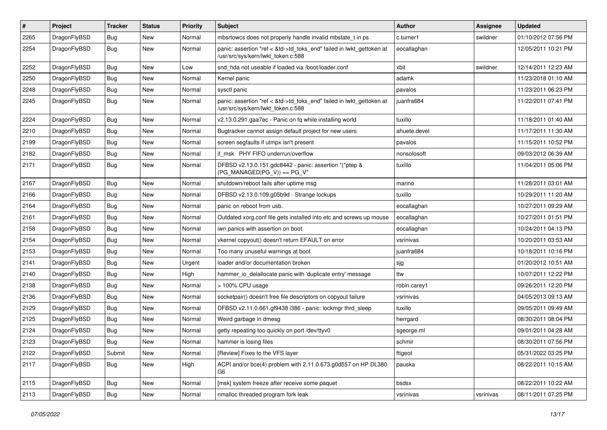| #      | Project      | <b>Tracker</b> | <b>Status</b> | <b>Priority</b> | Subject                                                                                                    | Author       | <b>Assignee</b> | <b>Updated</b>      |
|--------|--------------|----------------|---------------|-----------------|------------------------------------------------------------------------------------------------------------|--------------|-----------------|---------------------|
| 2265   | DragonFlyBSD | Bug            | <b>New</b>    | Normal          | mbsrtowcs does not properly handle invalid mbstate_t in ps                                                 | c.turner1    | swildner        | 01/10/2012 07:56 PM |
| 2254   | DragonFlyBSD | Bug            | New           | Normal          | panic: assertion "ref < &td->td_toks_end" failed in lwkt_gettoken at<br>/usr/src/sys/kern/lwkt_token.c:588 | eocallaghan  |                 | 12/05/2011 10:21 PM |
| 2252   | DragonFlyBSD | Bug            | <b>New</b>    | Low             | snd hda not useable if loaded via /boot/loader.conf                                                        | xbit         | swildner        | 12/14/2011 12:23 AM |
| 2250   | DragonFlyBSD | <b>Bug</b>     | <b>New</b>    | Normal          | Kernel panic                                                                                               | adamk        |                 | 11/23/2018 01:10 AM |
| 2248   | DragonFlyBSD | <b>Bug</b>     | New           | Normal          | sysctl panic                                                                                               | pavalos      |                 | 11/23/2011 06:23 PM |
| 2245   | DragonFlyBSD | Bug            | New           | Normal          | panic: assertion "ref < &td->td_toks_end" failed in lwkt_gettoken at<br>/usr/src/sys/kern/lwkt_token.c:588 | juanfra684   |                 | 11/22/2011 07:41 PM |
| 2224   | DragonFlyBSD | Bug            | <b>New</b>    | Normal          | v2.13.0.291.gaa7ec - Panic on fq while installing world                                                    | tuxillo      |                 | 11/18/2011 01:40 AM |
| 2210   | DragonFlyBSD | <b>Bug</b>     | <b>New</b>    | Normal          | Bugtracker cannot assign default project for new users                                                     | ahuete.devel |                 | 11/17/2011 11:30 AM |
| 2199   | DragonFlyBSD | Bug            | <b>New</b>    | Normal          | screen segfaults if utmpx isn't present                                                                    | pavalos      |                 | 11/15/2011 10:52 PM |
| 2182   | DragonFlyBSD | Bug            | <b>New</b>    | Normal          | if_msk PHY FIFO underrun/overflow                                                                          | nonsolosoft  |                 | 09/03/2012 06:39 AM |
| 2171   | DragonFlyBSD | Bug            | New           | Normal          | DFBSD v2.13.0.151.gdc8442 - panic: assertion "(*ptep &<br>(PG MANAGED PG V)) == PG V"                      | tuxillo      |                 | 11/04/2011 05:06 PM |
| 2167   | DragonFlyBSD | Bug            | <b>New</b>    | Normal          | shutdown/reboot fails after uptime msg                                                                     | marino       |                 | 11/28/2011 03:01 AM |
| 2166   | DragonFlyBSD | <b>Bug</b>     | New           | Normal          | DFBSD v2.13.0.109.g05b9d - Strange lockups                                                                 | tuxillo      |                 | 10/29/2011 11:20 AM |
| 2164   | DragonFlyBSD | Bug            | New           | Normal          | panic on reboot from usb.                                                                                  | eocallaghan  |                 | 10/27/2011 09:29 AM |
| 2161   | DragonFlyBSD | <b>Bug</b>     | New           | Normal          | Outdated xorg.conf file gets installed into etc and screws up mouse                                        | eocallaghan  |                 | 10/27/2011 01:51 PM |
| 2158   | DragonFlyBSD | <b>Bug</b>     | New           | Normal          | iwn panics with assertion on boot.                                                                         | eocallaghan  |                 | 10/24/2011 04:13 PM |
| 2154   | DragonFlyBSD | Bug            | <b>New</b>    | Normal          | vkernel copyout() doesn't return EFAULT on error                                                           | vsrinivas    |                 | 10/20/2011 03:53 AM |
| 2153   | DragonFlyBSD | Bug            | New           | Normal          | Too many unuseful warnings at boot                                                                         | juanfra684   |                 | 10/18/2011 10:16 PM |
| $2141$ | DragonFlyBSD | Bug            | New           | Urgent          | loader and/or documentation broken                                                                         | sjg          |                 | 01/20/2012 10:51 AM |
| 2140   | DragonFlyBSD | Bug            | <b>New</b>    | High            | hammer_io_delallocate panic with 'duplicate entry' message                                                 | ttw          |                 | 10/07/2011 12:22 PM |
| 2138   | DragonFlyBSD | Bug            | New           | Normal          | > 100% CPU usage                                                                                           | robin.carey1 |                 | 09/26/2011 12:20 PM |
| 2136   | DragonFlyBSD | Bug            | <b>New</b>    | Normal          | socketpair() doesn't free file descriptors on copyout failure                                              | vsrinivas    |                 | 04/05/2013 09:13 AM |
| 2129   | DragonFlyBSD | <b>Bug</b>     | New           | Normal          | DFBSD v2.11.0.661.gf9438 i386 - panic: lockmgr thrd sleep                                                  | tuxillo      |                 | 09/05/2011 09:49 AM |
| 2125   | DragonFlyBSD | Bug            | New           | Normal          | Weird garbage in dmesg                                                                                     | herrgard     |                 | 08/30/2011 08:04 PM |
| 2124   | DragonFlyBSD | <b>Bug</b>     | New           | Normal          | getty repeating too quickly on port /dev/ttyv0                                                             | sgeorge.ml   |                 | 09/01/2011 04:28 AM |
| 2123   | DragonFlyBSD | Bug            | New           | Normal          | hammer is losing files                                                                                     | schmir       |                 | 08/30/2011 07:56 PM |
| 2122   | DragonFlyBSD | Submit         | New           | Normal          | [Review] Fixes to the VFS layer                                                                            | ftigeot      |                 | 05/31/2022 03:25 PM |
| 2117   | DragonFlyBSD | <b>Bug</b>     | New           | High            | ACPI and/or bce(4) problem with 2.11.0.673.g0d557 on HP DL380<br>G6                                        | pauska       |                 | 08/22/2011 10:15 AM |
| 2115   | DragonFlyBSD | Bug            | New           | Normal          | [msk] system freeze after receive some paquet                                                              | bsdsx        |                 | 08/22/2011 10:22 AM |
| 2113   | DragonFlyBSD | <b>Bug</b>     | New           | Normal          | nmalloc threaded program fork leak                                                                         | vsrinivas    | vsrinivas       | 08/11/2011 07:25 PM |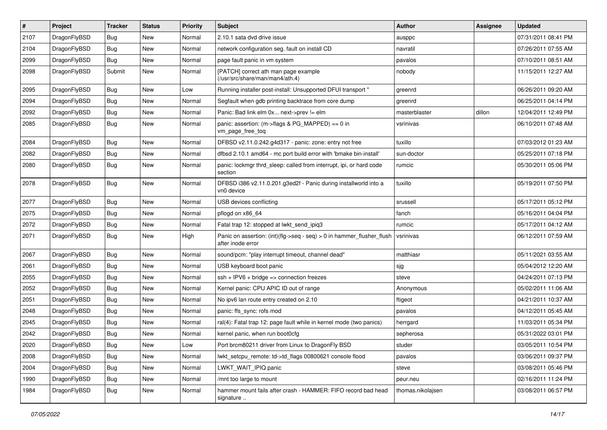| $\vert$ # | Project      | <b>Tracker</b> | <b>Status</b> | <b>Priority</b> | <b>Subject</b>                                                                                | Author            | Assignee | <b>Updated</b>      |
|-----------|--------------|----------------|---------------|-----------------|-----------------------------------------------------------------------------------------------|-------------------|----------|---------------------|
| 2107      | DragonFlyBSD | <b>Bug</b>     | <b>New</b>    | Normal          | 2.10.1 sata dvd drive issue                                                                   | ausppc            |          | 07/31/2011 08:41 PM |
| 2104      | DragonFlyBSD | Bug            | <b>New</b>    | Normal          | network configuration seg. fault on install CD                                                | navratil          |          | 07/26/2011 07:55 AM |
| 2099      | DragonFlyBSD | <b>Bug</b>     | <b>New</b>    | Normal          | page fault panic in vm system                                                                 | pavalos           |          | 07/10/2011 08:51 AM |
| 2098      | DragonFlyBSD | Submit         | New           | Normal          | [PATCH] correct ath man page example<br>(/usr/src/share/man/man4/ath.4)                       | nobody            |          | 11/15/2011 12:27 AM |
| 2095      | DragonFlyBSD | <b>Bug</b>     | New           | Low             | Running installer post-install: Unsupported DFUI transport "                                  | greenrd           |          | 06/26/2011 09:20 AM |
| 2094      | DragonFlyBSD | Bug            | <b>New</b>    | Normal          | Segfault when gdb printing backtrace from core dump                                           | greenrd           |          | 06/25/2011 04:14 PM |
| 2092      | DragonFlyBSD | <b>Bug</b>     | <b>New</b>    | Normal          | Panic: Bad link elm 0x next->prev != elm                                                      | masterblaster     | dillon   | 12/04/2011 12:49 PM |
| 2085      | DragonFlyBSD | Bug            | <b>New</b>    | Normal          | panic: assertion: (m->flags & PG_MAPPED) == 0 in<br>vm_page_free_toq                          | vsrinivas         |          | 06/10/2011 07:48 AM |
| 2084      | DragonFlyBSD | Bug            | <b>New</b>    | Normal          | DFBSD v2.11.0.242.g4d317 - panic: zone: entry not free                                        | tuxillo           |          | 07/03/2012 01:23 AM |
| 2082      | DragonFlyBSD | Bug            | New           | Normal          | dfbsd 2.10.1 amd64 - mc port build error with 'bmake bin-install'                             | sun-doctor        |          | 05/25/2011 07:18 PM |
| 2080      | DragonFlyBSD | Bug            | <b>New</b>    | Normal          | panic: lockmgr thrd_sleep: called from interrupt, ipi, or hard code<br>section                | rumcic            |          | 05/30/2011 05:06 PM |
| 2078      | DragonFlyBSD | Bug            | <b>New</b>    | Normal          | DFBSD i386 v2.11.0.201.g3ed2f - Panic during installworld into a<br>vn0 device                | tuxillo           |          | 05/19/2011 07:50 PM |
| 2077      | DragonFlyBSD | <b>Bug</b>     | <b>New</b>    | Normal          | USB devices conflicting                                                                       | srussell          |          | 05/17/2011 05:12 PM |
| 2075      | DragonFlyBSD | Bug            | <b>New</b>    | Normal          | pflogd on x86_64                                                                              | fanch             |          | 05/16/2011 04:04 PM |
| 2072      | DragonFlyBSD | <b>Bug</b>     | <b>New</b>    | Normal          | Fatal trap 12: stopped at lwkt_send_ipiq3                                                     | rumcic            |          | 05/17/2011 04:12 AM |
| 2071      | DragonFlyBSD | Bug            | New           | High            | Panic on assertion: $(int)(flag->seq - seq) > 0$ in hammer flusher flush<br>after inode error | vsrinivas         |          | 06/12/2011 07:59 AM |
| 2067      | DragonFlyBSD | <b>Bug</b>     | <b>New</b>    | Normal          | sound/pcm: "play interrupt timeout, channel dead"                                             | matthiasr         |          | 05/11/2021 03:55 AM |
| 2061      | DragonFlyBSD | Bug            | <b>New</b>    | Normal          | USB keyboard boot panic                                                                       | sjg               |          | 05/04/2012 12:20 AM |
| 2055      | DragonFlyBSD | Bug            | <b>New</b>    | Normal          | $ssh + IPV6 + bridge \Rightarrow connection freezes$                                          | steve             |          | 04/24/2011 07:13 PM |
| 2052      | DragonFlyBSD | Bug            | <b>New</b>    | Normal          | Kernel panic: CPU APIC ID out of range                                                        | Anonymous         |          | 05/02/2011 11:06 AM |
| 2051      | DragonFlyBSD | Bug            | <b>New</b>    | Normal          | No ipv6 lan route entry created on 2.10                                                       | ftigeot           |          | 04/21/2011 10:37 AM |
| 2048      | DragonFlyBSD | Bug            | <b>New</b>    | Normal          | panic: ffs_sync: rofs mod                                                                     | pavalos           |          | 04/12/2011 05:45 AM |
| 2045      | DragonFlyBSD | Bug            | <b>New</b>    | Normal          | ral(4): Fatal trap 12: page fault while in kernel mode (two panics)                           | herrgard          |          | 11/03/2011 05:34 PM |
| 2042      | DragonFlyBSD | <b>Bug</b>     | <b>New</b>    | Normal          | kernel panic, when run boot0cfg                                                               | sepherosa         |          | 05/31/2022 03:01 PM |
| 2020      | DragonFlyBSD | <b>Bug</b>     | New           | Low             | Port brcm80211 driver from Linux to DragonFly BSD                                             | studer            |          | 03/05/2011 10:54 PM |
| 2008      | DragonFlyBSD | Bug            | <b>New</b>    | Normal          | lwkt setcpu remote: td->td flags 00800621 console flood                                       | pavalos           |          | 03/06/2011 09:37 PM |
| 2004      | DragonFlyBSD | <b>Bug</b>     | New           | Normal          | LWKT WAIT IPIQ panic                                                                          | steve             |          | 03/08/2011 05:46 PM |
| 1990      | DragonFlyBSD | <b>Bug</b>     | New           | Normal          | /mnt too large to mount                                                                       | peur.neu          |          | 02/16/2011 11:24 PM |
| 1984      | DragonFlyBSD | Bug            | New           | Normal          | hammer mount fails after crash - HAMMER: FIFO record bad head<br>signature                    | thomas.nikolajsen |          | 03/08/2011 06:57 PM |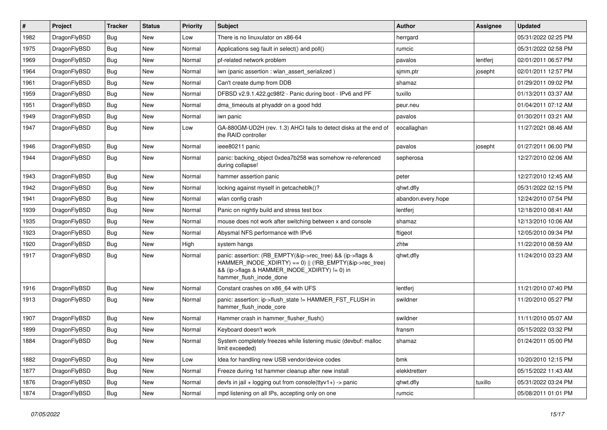| $\vert$ # | Project      | <b>Tracker</b> | <b>Status</b> | <b>Priority</b> | Subject                                                                                                                                                                                           | <b>Author</b>      | Assignee | <b>Updated</b>      |
|-----------|--------------|----------------|---------------|-----------------|---------------------------------------------------------------------------------------------------------------------------------------------------------------------------------------------------|--------------------|----------|---------------------|
| 1982      | DragonFlyBSD | <b>Bug</b>     | New           | Low             | There is no linuxulator on x86-64                                                                                                                                                                 | herrgard           |          | 05/31/2022 02:25 PM |
| 1975      | DragonFlyBSD | Bug            | New           | Normal          | Applications seg fault in select() and poll()                                                                                                                                                     | rumcic             |          | 05/31/2022 02:58 PM |
| 1969      | DragonFlyBSD | <b>Bug</b>     | New           | Normal          | pf-related network problem                                                                                                                                                                        | pavalos            | lentferj | 02/01/2011 06:57 PM |
| 1964      | DragonFlyBSD | <b>Bug</b>     | New           | Normal          | iwn (panic assertion : wlan assert serialized)                                                                                                                                                    | sjmm.ptr           | josepht  | 02/01/2011 12:57 PM |
| 1961      | DragonFlyBSD | <b>Bug</b>     | New           | Normal          | Can't create dump from DDB                                                                                                                                                                        | shamaz             |          | 01/29/2011 09:02 PM |
| 1959      | DragonFlyBSD | <b>Bug</b>     | New           | Normal          | DFBSD v2.9.1.422.gc98f2 - Panic during boot - IPv6 and PF                                                                                                                                         | tuxillo            |          | 01/13/2011 03:37 AM |
| 1951      | DragonFlyBSD | <b>Bug</b>     | <b>New</b>    | Normal          | dma timeouts at phyaddr on a good hdd                                                                                                                                                             | peur.neu           |          | 01/04/2011 07:12 AM |
| 1949      | DragonFlyBSD | <b>Bug</b>     | New           | Normal          | iwn panic                                                                                                                                                                                         | pavalos            |          | 01/30/2011 03:21 AM |
| 1947      | DragonFlyBSD | Bug            | New           | Low             | GA-880GM-UD2H (rev. 1.3) AHCI fails to detect disks at the end of<br>the RAID controller                                                                                                          | eocallaghan        |          | 11/27/2021 08:46 AM |
| 1946      | DragonFlyBSD | <b>Bug</b>     | New           | Normal          | ieee80211 panic                                                                                                                                                                                   | pavalos            | josepht  | 01/27/2011 06:00 PM |
| 1944      | DragonFlyBSD | Bug            | New           | Normal          | panic: backing object 0xdea7b258 was somehow re-referenced<br>during collapse!                                                                                                                    | sepherosa          |          | 12/27/2010 02:06 AM |
| 1943      | DragonFlyBSD | Bug            | New           | Normal          | hammer assertion panic                                                                                                                                                                            | peter              |          | 12/27/2010 12:45 AM |
| 1942      | DragonFlyBSD | <b>Bug</b>     | <b>New</b>    | Normal          | locking against myself in getcacheblk()?                                                                                                                                                          | qhwt.dfly          |          | 05/31/2022 02:15 PM |
| 1941      | DragonFlyBSD | <b>Bug</b>     | New           | Normal          | wlan config crash                                                                                                                                                                                 | abandon.every.hope |          | 12/24/2010 07:54 PM |
| 1939      | DragonFlyBSD | <b>Bug</b>     | New           | Normal          | Panic on nightly build and stress test box                                                                                                                                                        | lentferj           |          | 12/18/2010 08:41 AM |
| 1935      | DragonFlyBSD | <b>Bug</b>     | New           | Normal          | mouse does not work after switching between x and console                                                                                                                                         | shamaz             |          | 12/13/2010 10:06 AM |
| 1923      | DragonFlyBSD | Bug            | New           | Normal          | Abysmal NFS performance with IPv6                                                                                                                                                                 | ftigeot            |          | 12/05/2010 09:34 PM |
| 1920      | DragonFlyBSD | <b>Bug</b>     | New           | High            | system hangs                                                                                                                                                                                      | zhtw               |          | 11/22/2010 08:59 AM |
| 1917      | DragonFlyBSD | <b>Bug</b>     | New           | Normal          | panic: assertion: (RB_EMPTY(&ip->rec_tree) && (ip->flags &<br>HAMMER_INODE_XDIRTY) == 0)    (!RB_EMPTY(&ip->rec_tree)<br>&& (ip->flags & HAMMER_INODE_XDIRTY) != 0) in<br>hammer_flush_inode_done | qhwt.dfly          |          | 11/24/2010 03:23 AM |
| 1916      | DragonFlyBSD | <b>Bug</b>     | New           | Normal          | Constant crashes on x86_64 with UFS                                                                                                                                                               | lentferj           |          | 11/21/2010 07:40 PM |
| 1913      | DragonFlyBSD | <b>Bug</b>     | <b>New</b>    | Normal          | panic: assertion: ip->flush_state != HAMMER_FST_FLUSH in<br>hammer_flush_inode_core                                                                                                               | swildner           |          | 11/20/2010 05:27 PM |
| 1907      | DragonFlyBSD | <b>Bug</b>     | New           | Normal          | Hammer crash in hammer_flusher_flush()                                                                                                                                                            | swildner           |          | 11/11/2010 05:07 AM |
| 1899      | DragonFlyBSD | <b>Bug</b>     | <b>New</b>    | Normal          | Keyboard doesn't work                                                                                                                                                                             | fransm             |          | 05/15/2022 03:32 PM |
| 1884      | DragonFlyBSD | Bug            | <b>New</b>    | Normal          | System completely freezes while listening music (devbuf: malloc<br>limit exceeded)                                                                                                                | shamaz             |          | 01/24/2011 05:00 PM |
| 1882      | DragonFlyBSD | Bug            | <b>New</b>    | Low             | Idea for handling new USB vendor/device codes                                                                                                                                                     | bmk                |          | 10/20/2010 12:15 PM |
| 1877      | DragonFlyBSD | Bug            | New           | Normal          | Freeze during 1st hammer cleanup after new install                                                                                                                                                | elekktretterr      |          | 05/15/2022 11:43 AM |
| 1876      | DragonFlyBSD | Bug            | New           | Normal          | devfs in jail + logging out from console(ttyv1+) -> panic                                                                                                                                         | qhwt.dfly          | tuxillo  | 05/31/2022 03:24 PM |
| 1874      | DragonFlyBSD | <b>Bug</b>     | New           | Normal          | mpd listening on all IPs, accepting only on one                                                                                                                                                   | rumcic             |          | 05/08/2011 01:01 PM |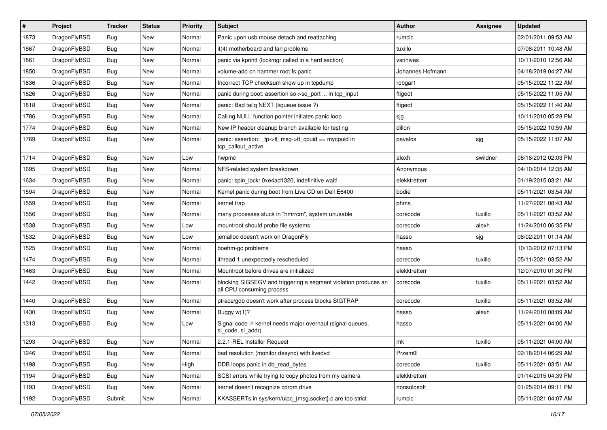| #    | Project      | <b>Tracker</b> | <b>Status</b> | <b>Priority</b> | Subject                                                                                      | Author           | Assignee | <b>Updated</b>      |
|------|--------------|----------------|---------------|-----------------|----------------------------------------------------------------------------------------------|------------------|----------|---------------------|
| 1873 | DragonFlyBSD | Bug            | New           | Normal          | Panic upon usb mouse detach and reattaching                                                  | rumcic           |          | 02/01/2011 09:53 AM |
| 1867 | DragonFlyBSD | Bug            | <b>New</b>    | Normal          | it(4) motherboard and fan problems                                                           | tuxillo          |          | 07/08/2011 10:48 AM |
| 1861 | DragonFlyBSD | Bug            | <b>New</b>    | Normal          | panic via kprintf (lockmgr called in a hard section)                                         | vsrinivas        |          | 10/11/2010 12:56 AM |
| 1850 | DragonFlyBSD | <b>Bug</b>     | New           | Normal          | volume-add on hammer root fs panic                                                           | Johannes.Hofmann |          | 04/18/2019 04:27 AM |
| 1836 | DragonFlyBSD | Bug            | <b>New</b>    | Normal          | Incorrect TCP checksum show up in tcpdump                                                    | robgar1          |          | 05/15/2022 11:22 AM |
| 1826 | DragonFlyBSD | <b>Bug</b>     | New           | Normal          | panic during boot: assertion so->so_port  in tcp_input                                       | ftigeot          |          | 05/15/2022 11:05 AM |
| 1818 | DragonFlyBSD | <b>Bug</b>     | New           | Normal          | panic: Bad tailg NEXT (kgueue issue ?)                                                       | ftigeot          |          | 05/15/2022 11:40 AM |
| 1786 | DragonFlyBSD | <b>Bug</b>     | <b>New</b>    | Normal          | Calling NULL function pointer initiates panic loop                                           | sjg              |          | 10/11/2010 05:28 PM |
| 1774 | DragonFlyBSD | <b>Bug</b>     | New           | Normal          | New IP header cleanup branch available for testing                                           | dillon           |          | 05/15/2022 10:59 AM |
| 1769 | DragonFlyBSD | Bug            | New           | Normal          | panic: assertion: _tp->tt_msg->tt_cpuid == mycpuid in<br>tcp_callout_active                  | pavalos          | sjg      | 05/15/2022 11:07 AM |
| 1714 | DragonFlyBSD | Bug            | New           | Low             | hwpmc                                                                                        | alexh            | swildner | 08/18/2012 02:03 PM |
| 1695 | DragonFlyBSD | Bug            | <b>New</b>    | Normal          | NFS-related system breakdown                                                                 | Anonymous        |          | 04/10/2014 12:35 AM |
| 1634 | DragonFlyBSD | <b>Bug</b>     | New           | Normal          | panic: spin lock: 0xe4ad1320, indefinitive wait!                                             | elekktretterr    |          | 01/19/2015 03:21 AM |
| 1594 | DragonFlyBSD | <b>Bug</b>     | New           | Normal          | Kernel panic during boot from Live CD on Dell E6400                                          | bodie            |          | 05/11/2021 03:54 AM |
| 1559 | DragonFlyBSD | <b>Bug</b>     | <b>New</b>    | Normal          | kernel trap                                                                                  | phma             |          | 11/27/2021 08:43 AM |
| 1556 | DragonFlyBSD | <b>Bug</b>     | New           | Normal          | many processes stuck in "hmrrcm", system unusable                                            | corecode         | tuxillo  | 05/11/2021 03:52 AM |
| 1538 | DragonFlyBSD | Bug            | <b>New</b>    | Low             | mountroot should probe file systems                                                          | corecode         | alexh    | 11/24/2010 06:35 PM |
| 1532 | DragonFlyBSD | <b>Bug</b>     | New           | Low             | jemalloc doesn't work on DragonFly                                                           | hasso            | sjg      | 08/02/2011 01:14 AM |
| 1525 | DragonFlyBSD | <b>Bug</b>     | <b>New</b>    | Normal          | boehm-gc problems                                                                            | hasso            |          | 10/13/2012 07:13 PM |
| 1474 | DragonFlyBSD | <b>Bug</b>     | New           | Normal          | ithread 1 unexpectedly rescheduled                                                           | corecode         | tuxillo  | 05/11/2021 03:52 AM |
| 1463 | DragonFlyBSD | <b>Bug</b>     | <b>New</b>    | Normal          | Mountroot before drives are initialized                                                      | elekktretterr    |          | 12/07/2010 01:30 PM |
| 1442 | DragonFlyBSD | Bug            | New           | Normal          | blocking SIGSEGV and triggering a segment violation produces an<br>all CPU consuming process | corecode         | tuxillo  | 05/11/2021 03:52 AM |
| 1440 | DragonFlyBSD | Bug            | New           | Normal          | ptrace/gdb doesn't work after process blocks SIGTRAP                                         | corecode         | tuxillo  | 05/11/2021 03:52 AM |
| 1430 | DragonFlyBSD | Bug            | New           | Normal          | Buggy w(1)?                                                                                  | hasso            | alexh    | 11/24/2010 08:09 AM |
| 1313 | DragonFlyBSD | <b>Bug</b>     | New           | Low             | Signal code in kernel needs major overhaul (signal queues,<br>si_code, si_addr)              | hasso            |          | 05/11/2021 04:00 AM |
| 1293 | DragonFlyBSD | Bug            | New           | Normal          | 2.2.1-REL Installer Request                                                                  | mk               | tuxillo  | 05/11/2021 04:00 AM |
| 1246 | DragonFlyBSD | Bug            | New           | Normal          | bad resolution (monitor desync) with livedvd                                                 | Przem0l          |          | 02/18/2014 06:29 AM |
| 1198 | DragonFlyBSD | Bug            | New           | High            | DDB loops panic in db_read_bytes                                                             | corecode         | tuxillo  | 05/11/2021 03:51 AM |
| 1194 | DragonFlyBSD | <b>Bug</b>     | <b>New</b>    | Normal          | SCSI errors while trying to copy photos from my camera                                       | elekktretterr    |          | 01/14/2015 04:39 PM |
| 1193 | DragonFlyBSD | <b>Bug</b>     | <b>New</b>    | Normal          | kernel doesn't recognize cdrom drive                                                         | nonsolosoft      |          | 01/25/2014 09:11 PM |
| 1192 | DragonFlyBSD | Submit         | New           | Normal          | KKASSERTs in sys/kern/uipc_{msg,socket}.c are too strict                                     | rumcic           |          | 05/11/2021 04:07 AM |